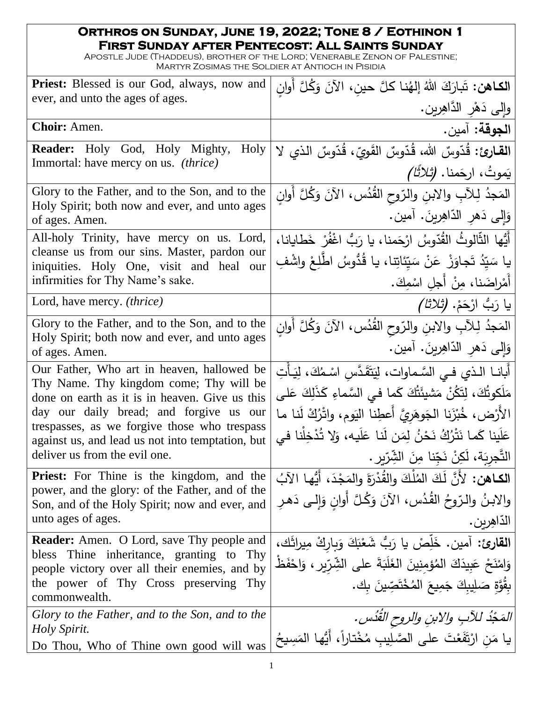## **Orthros on Sunday, June 19, 2022; Tone 8 / Eothinon 1 First Sunday after Pentecost: All Saints Sunday**

Apostle Jude (Thaddeus), brother of the Lord; Venerable Zenon of Palestine; Martyr Zosimas the Soldier at Antioch in Pisidia

| <b>Priest:</b> Blessed is our God, always, now and                                           | ا <b>لكـاهن:</b> تَبارَكَ اللهُ إلهُنـا كلَّ حين، الآنَ وَكُلَّ أُوان                                              |
|----------------------------------------------------------------------------------------------|--------------------------------------------------------------------------------------------------------------------|
| ever, and unto the ages of ages.                                                             | وإلى دَهْرِ الدَّاهِرِينِ.                                                                                         |
| Choir: Amen.                                                                                 | الجوقة: آمين.                                                                                                      |
| Holy<br><b>Reader:</b> Holy God, Holy Mighty,                                                | القارئ: قُدّوسٌ الله، قُدّوسٌ القَويّ، قُدّوسٌ الذي لا                                                             |
| Immortal: have mercy on us. <i>(thrice)</i>                                                  | يَموتُ، ارجَمنا. <i>(ثلاثًا)</i>                                                                                   |
| Glory to the Father, and to the Son, and to the                                              | المَجدُ لِلآبِ والابنِ والرّوحِ القُدُسِ، الآنَ وَكُلَّ أَولَن                                                     |
| Holy Spirit; both now and ever, and unto ages<br>of ages. Amen.                              | وَإِلَى دَهْرِ الدَّاهِرِينَ. آمين.                                                                                |
| All-holy Trinity, have mercy on us. Lord,                                                    | أَيُّها الثَّالوثُ القُدّوسُ ارْحَمنا، يا رَبُّ اغْفُرْ خَطايانا،                                                  |
| cleanse us from our sins. Master, pardon our<br>iniquities. Holy One, visit and heal our     | يا سَيّدُ تَجاوَزْ عَنْ سَيّئاتِنا، يا قُدُوسُ اطّْلِعْ واشْفِ                                                     |
| infirmities for Thy Name's sake.                                                             | أَمْراضَنا، مِنْ أَجلِ اسْمِكَ.                                                                                    |
| Lord, have mercy. <i>(thrice)</i>                                                            | يا رَبُّ ارْحَمْ. <i>(تْلاثا)</i>                                                                                  |
| Glory to the Father, and to the Son, and to the                                              | المَجدُ لِلآبِ والابنِ والرّوحِ القُدُسِ، الآنَ وَكُلَّ أَوانِ                                                     |
| Holy Spirit; both now and ever, and unto ages<br>of ages. Amen.                              | وَإِلَى دَهْرِ الدَّاهِرِينَ. آمين.                                                                                |
| Our Father, Who art in heaven, hallowed be<br>Thy Name. Thy kingdom come; Thy will be        | أَبانــا الـذي فــى السَّـماوات، لِيَتَقَدَّس اسْـمُكَ، لِيَـأْتِ                                                  |
| done on earth as it is in heaven. Give us this                                               | مَلَكوتُكَ، لِتَكُنْ مَشيئَتُكَ كَما في السَّماءِ كَذَلِكَ عَلى                                                    |
| day our daily bread; and forgive us our<br>trespasses, as we forgive those who trespass      | الأَرْض، خُبْزَنا الجَوهَريَّ أَعطِنا اليَوم، واتْرُكْ لَنا ما                                                     |
| against us, and lead us not into temptation, but                                             | عَلَينا كَما نَتْرُكُ نَحْنُ لِمَن لَنا عَلَيه، وَلا تُذْخِلْنا في                                                 |
| deliver us from the evil one.                                                                | التَّجرِبَة، لَكِنْ نَجِّنا مِنَ الشِّرّيرِ .                                                                      |
| Priest: For Thine is the kingdom, and the<br>power, and the glory: of the Father, and of the | الكاهن: لأَنَّ لَكَ الْمُلْكَ والقُدْرَةَ والمَجْدَ، أَيُّها الآبُ                                                 |
| Son, and of the Holy Spirit; now and ever, and                                               | والابنُ والرّوحُ القُدُسِ، الآنَ وَكُلَّ أَوانِ وَإِلـى دَهرِ                                                      |
| unto ages of ages.                                                                           | الذّاهِرين.                                                                                                        |
| <b>Reader:</b> Amen. O Lord, save Thy people and<br>bless Thine inheritance, granting to Thy | القارئ: آمين. خَلِّصْ يا رَبُّ شَعْبَكَ وَبِارِكْ مِيرِاثَك،                                                       |
| people victory over all their enemies, and by                                                | وَامْنَحْ عَبِيدَكَ الْمُؤْمِنِينَ الْغَلَبَةَ على الشِّرِّيرِ ، وَاحْفَظْ                                         |
| the power of Thy Cross preserving Thy<br>commonwealth.                                       | بِقُوَّةِ صَلِيبِكَ جَمِيعَ الْمُخْتَصِّينَ بِك.                                                                   |
| Glory to the Father, and to the Son, and to the                                              |                                                                                                                    |
| Holy Spirit.<br>Do Thou, Who of Thine own good will was                                      | <i>المَجْذُ للأَبِ والابنِ والروحِ القُدُس.</i><br>يا مَنِ ارْتَفَعْتَ على الصَّلِيبِ مُخْتاراً، أَيُّها المَسِيحُ |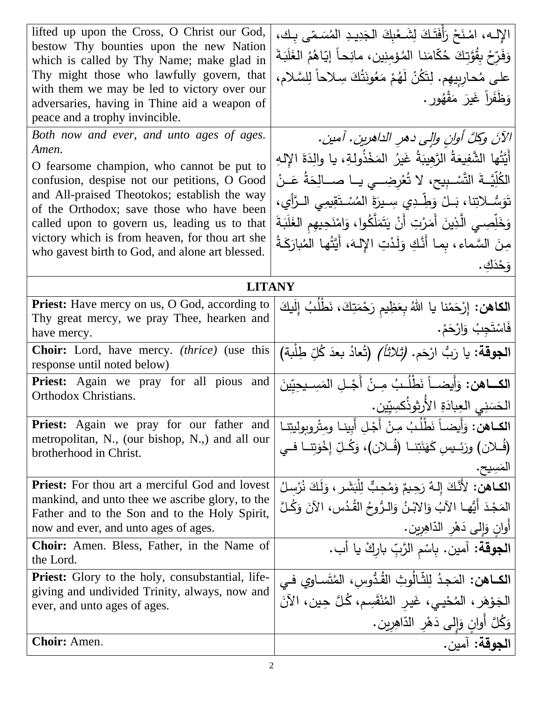| lifted up upon the Cross, O Christ our God,                                               | الإله، امْنَحْ رَأِفَتَكَ لِشَعْبِكَ الْجَدِيدِ الْمُسَمَّى بِكَ،             |
|-------------------------------------------------------------------------------------------|-------------------------------------------------------------------------------|
| bestow Thy bounties upon the new Nation<br>which is called by Thy Name; make glad in      | وَفَرّخ بِقُوَّتِكَ حُكّامَنا المُؤمِنِينِ، مانِحاً إِيّاهُمُ الغَلَبَةَ      |
| Thy might those who lawfully govern, that                                                 | على مُحارِبِيهِم. لِتَكُنْ لَهُمْ مَعُونَتُكَ سِلاحاً لِلسَّلامِ،             |
| with them we may be led to victory over our                                               | وَظَفَراً غَيرَ ۖ مَقْهُورٍ .                                                 |
| adversaries, having in Thine aid a weapon of<br>peace and a trophy invincible.            |                                                                               |
| Both now and ever, and unto ages of ages.                                                 | الآنَ وكلَّ أوانِ وإلى دهرِ الداهرينِ. آمين.                                  |
| Amen.                                                                                     |                                                                               |
| O fearsome champion, who cannot be put to                                                 | أَيَّتُها الشَّفِيعَةُ الرَّهِيبَةُ غَيرُ المَخْذُولةِ، يا والِدَةَ الإِلهِ   |
| confusion, despise not our petitions, O Good                                              | الكُلِّيَّــةَ التَّسْـبِيحِ، لا تُعْرِضِـــي يــا صـــالِحَةُ عَــنْ         |
| and All-praised Theotokos; establish the way<br>of the Orthodox; save those who have been | نَوَسُّــلاتِنا، بَــلْ وَطِّــدِي سِــيرَةَ المُسْــتَقِيمِي الــرَّأِي،     |
| called upon to govern us, leading us to that                                              | وَخَلِّصِـي الَّذِينَ أَمَرْتِ أَنْ يَتَمَلَّكُوا، وَامْنَحِيهِم الغَلَبَةَ   |
| victory which is from heaven, for thou art she                                            | مِنَ السَّماء، بِما أَنَّكِ وَلَدْتِ الإِلهَ، أَيَّتُها المُبارَكَةُ          |
| who gavest birth to God, and alone art blessed.                                           | وَحْدَكَ.                                                                     |
| <b>LITANY</b>                                                                             |                                                                               |
| Priest: Have mercy on us, O God, according to                                             | ا <b>لكاهن:</b> إِرْحَمْنا يا اللهُ بِعَظِيم رَحْمَتِكَ، نَطْلُبُ إِلَيكَ     |
| Thy great mercy, we pray Thee, hearken and                                                |                                                                               |
| have mercy.                                                                               | فَاسْتَجِبْ وَارْحَمْ.                                                        |
| <b>Choir:</b> Lord, have mercy. <i>(thrice)</i> (use this<br>response until noted below)  | ا <b>لجوقة</b> : يا رَبُّ ارْحَم. <i>(تْلاثاً)</i> (تُعادُ بعدَ كُلِّ طِلْبة) |
| <b>Priest:</b> Again we pray for all pious and                                            | ا <b>لكـــاهن:</b> وَأَيضـــاً نَطْلُـبُ مِــنْ أَجْــلِ المَسِــيحِيّينَ     |
| Orthodox Christians.                                                                      | الحَسَنِي العِبادَةِ الأُرثوذُكسِيّين.                                        |
| <b>Priest:</b> Again we pray for our father and                                           | ا <b>لكــاهن:</b> وَأَيضـاً نَطْلُبُ مِنْ أَجْلِ أَبينـا ومثْروبوليتِنـا      |
| metropolitan, N., (our bishop, N.,) and all our<br>brotherhood in Christ.                 | (فُـلان) ورَئــيس كَهَنَتِــا (فُـلان)، وَكُـلِّ إِخْوَتِنـا فــي             |
|                                                                                           |                                                                               |
| <b>Priest:</b> For thou art a merciful God and lovest                                     | الكاهن: لأَنَّكَ إِلـهٌ رَحِيمٌ وَمُحِبٌّ لِلْبَشَرِ ، وَلَكَ نُرْسِلُ        |
| mankind, and unto thee we ascribe glory, to the                                           | المَجْدَ أَيُّها الآبُ وَالابْنُ وَالـرُّوحُ القُـدُسِ، الآنَ وَكُـلَّ        |
| Father and to the Son and to the Holy Spirit,<br>now and ever, and unto ages of ages.     | أوانٍ وَإِلَى دَهْرِ الدّاهِرِينِ.                                            |
| <b>Choir:</b> Amen. Bless, Father, in the Name of                                         | ا <b>لجوقة:</b> آمين. بِاسْم الرَّبِّ باركْ يا أب.                            |
| the Lord.                                                                                 |                                                                               |
| <b>Priest:</b> Glory to the holy, consubstantial, life-                                   | ا <b>لكــاهن:</b> المَجـدُ لِلثَّـالُوثِ القُـدُّوسِ، المُتَسـاوي فــى        |
| giving and undivided Trinity, always, now and<br>ever, and unto ages of ages.             | الجَوْهَرِ ، المُحْييِ، غَيرِ المُنْقَسِمِ، كُلَّ حِينٍ، الآنَ                |
|                                                                                           | وَكُلَّ أُوانٍ وَإِلَى دَهْرِ الذَّاهِرِينِ.                                  |
| <b>Choir:</b> Amen.                                                                       | الجوقة: آمين                                                                  |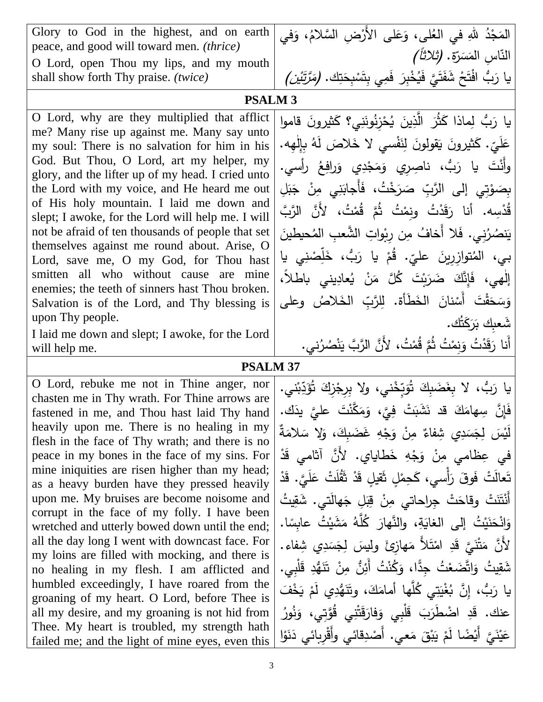| Glory to God in the highest, and on earth<br>peace, and good will toward men. (thrice)<br>O Lord, open Thou my lips, and my mouth                                                                                                                                                                                                                                                                                                                                                                                                                                                                                                                                                                                                                                                                                                                                                                                                                    | المَجْدُ للهِ في العُلى، وَعَلى الأَرْضِ السَّلامُ، وَفي<br>النّاس المَسَرّة. <i>(ثلاثاً)</i>                                                                                                                                                                                                                                                                                                                                                                                                                                                                                                                                                                                                                                                                                                                                |
|------------------------------------------------------------------------------------------------------------------------------------------------------------------------------------------------------------------------------------------------------------------------------------------------------------------------------------------------------------------------------------------------------------------------------------------------------------------------------------------------------------------------------------------------------------------------------------------------------------------------------------------------------------------------------------------------------------------------------------------------------------------------------------------------------------------------------------------------------------------------------------------------------------------------------------------------------|------------------------------------------------------------------------------------------------------------------------------------------------------------------------------------------------------------------------------------------------------------------------------------------------------------------------------------------------------------------------------------------------------------------------------------------------------------------------------------------------------------------------------------------------------------------------------------------------------------------------------------------------------------------------------------------------------------------------------------------------------------------------------------------------------------------------------|
| shall show forth Thy praise. (twice)                                                                                                                                                                                                                                                                                                                                                                                                                                                                                                                                                                                                                                                                                                                                                                                                                                                                                                                 | يا رَبُّ افْتَحْ شَفَتَيَّ فَيُخْبِرَ فَمِي بِتَسْبِحَتِك. ( <i>مَرَّتَيْن)</i>                                                                                                                                                                                                                                                                                                                                                                                                                                                                                                                                                                                                                                                                                                                                              |
| <b>PSALM 3</b>                                                                                                                                                                                                                                                                                                                                                                                                                                                                                                                                                                                                                                                                                                                                                                                                                                                                                                                                       |                                                                                                                                                                                                                                                                                                                                                                                                                                                                                                                                                                                                                                                                                                                                                                                                                              |
| O Lord, why are they multiplied that afflict<br>me? Many rise up against me. Many say unto<br>my soul: There is no salvation for him in his<br>God. But Thou, O Lord, art my helper, my<br>glory, and the lifter up of my head. I cried unto<br>the Lord with my voice, and He heard me out<br>of His holy mountain. I laid me down and<br>slept; I awoke, for the Lord will help me. I will<br>not be afraid of ten thousands of people that set<br>themselves against me round about. Arise, O<br>Lord, save me, O my God, for Thou hast<br>smitten all who without cause are mine<br>enemies; the teeth of sinners hast Thou broken.<br>Salvation is of the Lord, and Thy blessing is<br>upon Thy people.<br>I laid me down and slept; I awoke, for the Lord                                                                                                                                                                                      | يا رَبُّ لِماذا كَثُرَ الَّذِينَ يُحْزِنُونَنِي؟ كَثيرونَ قاموا<br>عَلَيِّ. كَثيرونَ يَقولونَ لِنَفْسى لا خَلاصَ لَهُ بِإِلْهِه.<br>وأَنْتَ يا رَبُّ، ناصِرِي وَمَجْدِي وَرافِعُ رأسي.<br>بِصَوْتِي إِلَى الرَّبِّ صَرَخْتُ، فَأَجابَنِي مِنْ جَبَلِ<br>قُدْسِه. أنا رَقَدْتُ ونِمْتُ ثُمَّ قُمْتُ، لأَنَّ الرَّبَّ<br>يَنصُرُنِي. فَلا أَخافُ مِن رِبْواتِ الشَّعبِ المُحيطينَ<br>بي، المُتوازِرِينَ عليٍّ. قُمْ يا رَبُّ، خَلِّصْنِي يا<br>إِلْهِي، فَإِنَّكَ ضَرَبْتَ كُلَّ مَنْ يُعادِيني باطْلاً،<br>وَسَحَقْتَ أَسْنانَ الخَطَأَة. لِلرَّبِّ الخَلاصُ وعلى<br>شَعبك بَرَكَتُك.<br>أَنا رَقَدْتُ وَنِمْتُ ثُمَّ قُمْتُ، لأَنَّ الرَّبَّ يَنْصُرُني.                                                                                                                                                                     |
| will help me.<br><b>PSALM 37</b>                                                                                                                                                                                                                                                                                                                                                                                                                                                                                                                                                                                                                                                                                                                                                                                                                                                                                                                     |                                                                                                                                                                                                                                                                                                                                                                                                                                                                                                                                                                                                                                                                                                                                                                                                                              |
| O Lord, rebuke me not in Thine anger, nor<br>chasten me in Thy wrath. For Thine arrows are<br>fastened in me, and Thou hast laid Thy hand<br>heavily upon me. There is no healing in my<br>flesh in the face of Thy wrath; and there is no<br>peace in my bones in the face of my sins. For<br>mine iniquities are risen higher than my head;<br>as a heavy burden have they pressed heavily<br>upon me. My bruises are become noisome and<br>corrupt in the face of my folly. I have been<br>wretched and utterly bowed down until the end;<br>all the day long I went with downcast face. For<br>my loins are filled with mocking, and there is<br>no healing in my flesh. I am afflicted and<br>humbled exceedingly, I have roared from the<br>groaning of my heart. O Lord, before Thee is<br>all my desire, and my groaning is not hid from<br>Thee. My heart is troubled, my strength hath<br>failed me; and the light of mine eyes, even this | ياً رَبُّ، لا بِغَضَبِكَ تُوَبِّخْني، ولا بِرِجْزِكَ تُؤَدِّبْني.<br>فَإِنَّ  سِهامَكَ  قد  نَشَبَتْ  فِيَّ،  وَمَكَّنْتَ  عليَّ  يدَك.<br>لَيْسَ لِجَسَدِي شِفاءٌ مِنْ وَجْهِ غَضَبِكَ، وَلا سَلامَةٌ<br>في عِظامي مِنْ وَجْهِ خَطايايٍ. لأَنَّ آثامي قَدْ<br>تَعالَتْ فَوقَ رَأْسي، كَحِمْلِ ثَقيلِ قَدْ ثَقُلَتْ عَلَيَّ. قَدْ<br>أَنْتَنَتْ وقاحَتْ جِراحاتي مِنْ قِبَلِ جَهالَتي. شَقِيتُ<br>وَانْحَنَيْتُ إِلَى الْغَايَةِ، والنَّهارَ كُلَّهُ مَشَيْتُ عابسًا.<br>لأَنَّ مَتْنَيَّ قَدِ امْتَلاً مَهازِئَ وليسَ لِجَسَدِي شِفاء.<br>شَقِيتُ وَاتَّضَعْتُ جِدًّا، وَكُنْتُ أَئِنُّ مِنْ تَنَهُّدِ قَلْبِي.<br>يا رَبُّ، إِنَّ بُغْيَتِي كُلَّها أمامَكَ، وِتَنَهُّدِي لَمْ يَخْفَ<br>عنك. قَدِ اضْطَرَبَ قَلْبِي وَفارَقَتْنِي قُوَّتِي، وَنُورُ<br>عَيْنَيَّ أَيْضًا لَمْ يَبْقَ مَعى. أَصْدِقائى وأَقْرِبائى دَنَوْا |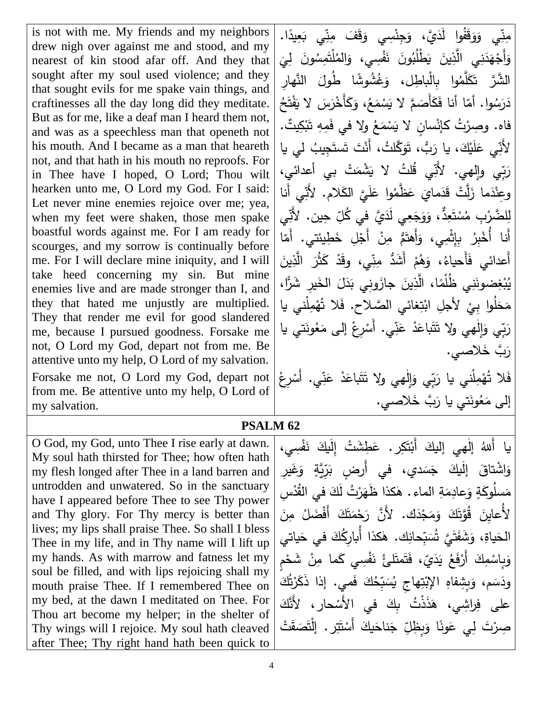is not with me. My friends and my neighbors drew nigh over against me and stood, and my nearest of kin stood afar off. And they that sought after my soul used violence; and they that sought evils for me spake vain things, and craftinesses all the day long did they meditate. But as for me, like a deaf man I heard them not, and was as a speechless man that openeth not his mouth. And I became as a man that heareth not, and that hath in his mouth no reproofs. For in Thee have I hoped, O Lord; Thou wilt hearken unto me, O Lord my God. For I said: Let never mine enemies rejoice over me; yea, when my feet were shaken, those men spake boastful words against me. For I am ready for scourges, and my sorrow is continually before me. For I will declare mine iniquity, and I will take heed concerning my sin. But mine enemies live and are made stronger than I, and they that hated me unjustly are multiplied. They that render me evil for good slandered me, because I pursued goodness. Forsake me not, O Lord my God, depart not from me. Be attentive unto my help, O Lord of my salvation. Forsake me not, O Lord my God, depart not from me. Be attentive unto my help, O Lord of my salvation.

O God, my God, unto Thee I rise early at dawn. My soul hath thirsted for Thee; how often hath my flesh longed after Thee in a land barren and untrodden and unwatered. So in the sanctuary have I appeared before Thee to see Thy power and Thy glory. For Thy mercy is better than lives; my lips shall praise Thee. So shall I bless Thee in my life, and in Thy name will I lift up my hands. As with marrow and fatness let my soul be filled, and with lips rejoicing shall my mouth praise Thee. If I remembered Thee on my bed, at the dawn I meditated on Thee. For Thou art become my helper; in the shelter of Thy wings will I rejoice. My soul hath cleaved after Thee; Thy right hand hath been quick to

مِذِّي وَوَقَفُوا لَذَيَّ، وَجِنْسِي وَقَفَ مِذِّي بَعِيدًا.<br>يَسْمَدُّ مِنْ مَنْ الْجَمَّاءِ وَجَنَّسِي وَقَفَ مِنِّي بَعِيدًا. ٔ. َ َ <u>ا</u> َ .<br>ا  $\ddot{•}$ وا ُ َُّ إ َمول ْ م إ ُُم ولاَ َ ف ن َُّ إ إب ْط ي ي و ، وا ُُ ن َ د َ ن َج َ َ  $\frac{1}{\sqrt{2}}$ َ <u>ٰ</u> ا<br>ا  $\frac{1}{\sqrt{2}}$ َـٰـًا .<br>ا **:** الشَّرَّ تَكَلَّمُوا بِالْباطِل، وَغُشُوشًا طُولَ النَّهارِ<br>مَسْرَدَ الصَّامَ  $\overline{\phantom{a}}$ َ دَرَسُوا. أَمَّا أَنَا فَكَأَصَمَّ لاَ يَسْمَعُ، وَكَأَخْرَسَ لاَ يَفْتَحُ  $\ddot{\bf s}$ ֺ<u>֓</u>֟֡֬֟ َ َ ا<br>ا ْ َ َ فاه. وصِرْتُ كإنْسانٍ لا يَسْمَعُ ولا في فَمِهِ تَبْكِيتٌ. **:** <u>بَ</u> ا<br>ا ْ لأَنِّي عَلَيْكَ، يا رَبُّ، تَوَكَّلتُ، أَنْتَ تَستَجِيبُ لي يا <u>َ</u>ـَـ ءِ<br>ِ .<br>م رَبِّي وإلهي. لأَنِّي قُلتُ لا يَشْمَتْ بي أعدائيِ، ً<br>ٌ .<br>ا وعِنْدَما زَلَّتْ قَدَمايَ عَظَّمُوا عَلَيَّ الكَلام. لأَنِّي أَنا  $\overline{a}$ َ <u>م</u> .<br>أ ֡<u>֚</u> لِلضَّرْبِ مُسْتَعِدٌٌ، وَوَجَعِي لَدَيَّ فِي كُلِّ حِين. لأَنِّي ْ ُ<br>ِ دٌّ، وَوَجَعِي لَدَ*يَّ* فِي كُلِّ حِين. لأَنِّ :<br>ا .<br>∶ َ َ أَنا أُخْبِرُ بِإِثْمِي، وَأَهتَمُّ مِنْ أَجْلِ خَطِيئتي. أَمّا َ **ٔ** .<br>-َ .<br>ا أَعدائي فَأَحياءُ، وَهُمْ أَشَدُّ مِنِّي، وقَدْ كَثُرَ الَّذِينَ .<br>م َ ْ َ يُبْغِضونَنِي ظُلْمًا، الَّذِينَ جازَونِي بَدَلَ الْخَيرِ شَرًّا،<br>\*\*\* َ  $\overline{\phantom{0}}$ .<br>ا **ٔ** مَخَلُوا بِيْ لأجلِ ابْتِغائي الصَّلاح. فَلا تُهْمِلْني يا **ٔ**  $\triangleleft$ ِ<br>ا رَبِّي وَإِلٰهي ولا تَتَباعَدْ عَنِّي. أَسْرِعْ إلى مَعُونَتي يا َ ً<br>ً ْ <u>ء</u> <u>ء</u> <u>َ</u> <u>َ</u> ٰ رَبَّ خَلاصي. فَلا تُهْمِلْني يا رَبِّي وَإِلٰهي ولا تَتَباعَدْ عَنِّي. أَسْرِعْ ْ <u>م</u> <u>ء</u> <u>َ</u> <u>آ</u> ٰ َ َ ْ َالصا. ِ، خ ما يَ ك َ ُن إ ت َ هُى م .<br>ـ

## **PSALM 62**

يا أَللهُ إلٰهي إليكَ أَبْتَكِر. عَطِشَتْ إِلَيكَ نَفْسِي، <u>ٌ</u> َ َ <u>م</u> ْ َ ٰ وَاشْتاقَ إِلَيْكَ جَسَد*ي*، في أَرضٍ بَرِّيَّةٍ وَغَيرِ <u>و</u> ً<br>أ مَسلُوكَةٍ وَعادِمَةِ الماء . هٰكذا ظَهَرْتُ لَكَ في القُدْسِ<br>مُسلُوكَةٍ وَعادِمَةِ الماء . هٰكذا ظَهَرْتُ لَكَ في القُدْسِ .<br>-<br>-َ  $\epsilon$ ا<br>ا .<br>-لأُعايِنَ قُوَّتَكَ وَمَجْدَك. لأَنَّ رَجْمَتَكَ أَفْضَلُ مِنَ <u>ّ</u> َ ً<br>ً ـ<br>ر **ٔ** ا<br>ا <u>ء</u><br>. الحَياةِ، وَشَفَتَيَّ تُسَبِّحانِك. هٰكذا أُبارِكُكَ في حَياتي َ َ ً<br>ب وَبِاسْمِكَ أَرْفَعُ يَدَيِّ، فَتَمتَلئُ نَفْسِي كَما مِنْ شَحْمِ ْ **ٔ** ا<br>ا <u>َ</u> َ .<br>ا .<br>ا ْ َ إك ت َر َذ َما. هذُ َّ إك ون س ب إل نَ وج ي و م ُإلن و وشفَه بو َ مَ َ َ ََ َد .<br>. َ ً<br>ب <u>َبا</u> َ لى فِراشِي، هَذَذْتُ بِكَ في الأَسْحارِ، لأَنَّكَ ْ َ ى<br>ئا َ صِرْتَ لِي عَونًا وَبِظِلِّ جَناحَيكَ أَسْتَتِر . إِنْتَصَقَتْ ֺ֧<sup>ֺ</sup> َ <u>ء</u> َ  $\frac{1}{2}$ ْ َ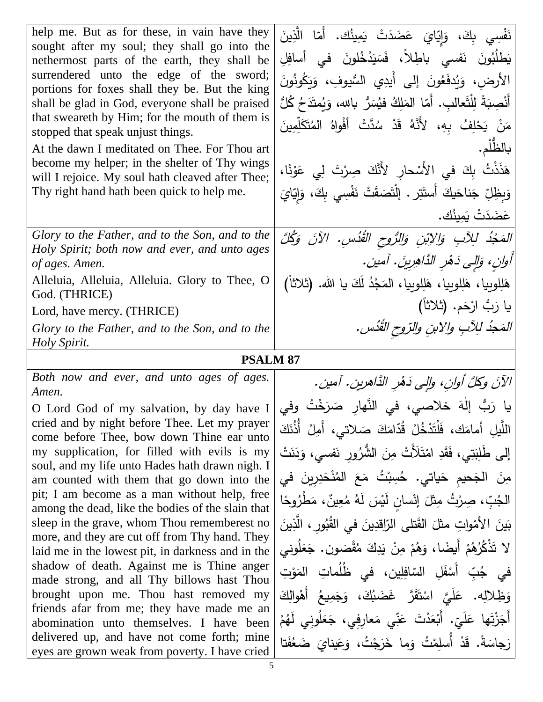| help me. But as for these, in vain have they<br>sought after my soul; they shall go into the<br>nethermost parts of the earth, they shall be<br>surrendered unto the edge of the sword;<br>portions for foxes shall they be. But the king<br>shall be glad in God, everyone shall be praised<br>that sweareth by Him; for the mouth of them is<br>stopped that speak unjust things.<br>At the dawn I meditated on Thee. For Thou art<br>become my helper; in the shelter of Thy wings<br>will I rejoice. My soul hath cleaved after Thee;<br>Thy right hand hath been quick to help me. | نَفْسِي بِكَ، وَإِيّايَ عَضَدَتْ يَمِينُك. أَمّا الَّذِينَ<br>يَطْلُبُونَ نَفسى باطِلاً، فَسَيَدْخُلونَ في أسافِلِ<br>الأرضِ، وَيُدفَعُونَ إِلى أَيدِي السُّيوفِ، وَيَكُونُونَ<br>أَنْصِبَةً لِلْثَعالبِ. أَمّا المَلِكُ فيُسَرُّ بالله، وَيُمتَدَحُ كُلُّ<br>مَنْ يَحْلِفُ بِهِ، لأَنَّهُ قَدْ سُدَّتْ أَفْواهُ المُتَكَلِّمِينَ<br>بالظُلْم.<br>هَذَذْتُ بِكَ في الأَسْحارِ لأَنَّكَ صِرْتَ لِي عَوْنًا،<br>وَبِظِلِّ جَناحَيكَ أَستَتِرٍ . إِلْتَصَقَتْ نَفْسِي بِكَ، وَإِيّايَ<br>  عَضَدَتْ يَمينُك . |
|-----------------------------------------------------------------------------------------------------------------------------------------------------------------------------------------------------------------------------------------------------------------------------------------------------------------------------------------------------------------------------------------------------------------------------------------------------------------------------------------------------------------------------------------------------------------------------------------|------------------------------------------------------------------------------------------------------------------------------------------------------------------------------------------------------------------------------------------------------------------------------------------------------------------------------------------------------------------------------------------------------------------------------------------------------------------------------------------------------------|
| Glory to the Father, and to the Son, and to the                                                                                                                                                                                                                                                                                                                                                                                                                                                                                                                                         | الْمَجْدُ لِلِآبِ وَالِإِبْنِ وَالرُّوحِ الْقُدُسِ. الآنَ وَكُلَّ                                                                                                                                                                                                                                                                                                                                                                                                                                          |
| Holy Spirit; both now and ever, and unto ages<br>of ages. Amen.                                                                                                                                                                                                                                                                                                                                                                                                                                                                                                                         | أُوانِ، وَإِلِي دَهْرِ الذَّاهِرِينَ. آمين.                                                                                                                                                                                                                                                                                                                                                                                                                                                                |
| Alleluia, Alleluia, Alleluia. Glory to Thee, O                                                                                                                                                                                                                                                                                                                                                                                                                                                                                                                                          | هَلِلوبِيا، هَلِلوبِيا، هَلِلوبِيا، المَجْدُ لَكَ يا الله. (ثلاثاً)                                                                                                                                                                                                                                                                                                                                                                                                                                        |
| God. (THRICE)                                                                                                                                                                                                                                                                                                                                                                                                                                                                                                                                                                           |                                                                                                                                                                                                                                                                                                                                                                                                                                                                                                            |
| Lord, have mercy. (THRICE)                                                                                                                                                                                                                                                                                                                                                                                                                                                                                                                                                              | يا رَبُّ ارْحَم. (ثلاثاً)                                                                                                                                                                                                                                                                                                                                                                                                                                                                                  |
|                                                                                                                                                                                                                                                                                                                                                                                                                                                                                                                                                                                         |                                                                                                                                                                                                                                                                                                                                                                                                                                                                                                            |
| Glory to the Father, and to the Son, and to the<br>Holy Spirit.                                                                                                                                                                                                                                                                                                                                                                                                                                                                                                                         | المَجْدُ لِلِآبِ والابنِ والرّوحِ القُدُسِ.                                                                                                                                                                                                                                                                                                                                                                                                                                                                |
| <b>PSALM 87</b>                                                                                                                                                                                                                                                                                                                                                                                                                                                                                                                                                                         |                                                                                                                                                                                                                                                                                                                                                                                                                                                                                                            |
| Both now and ever, and unto ages of ages.                                                                                                                                                                                                                                                                                                                                                                                                                                                                                                                                               | الآنَ وكلَّ أوانِ، وإلى دَهْرِ الدَّاهرينِ. آمين.                                                                                                                                                                                                                                                                                                                                                                                                                                                          |
| Amen.                                                                                                                                                                                                                                                                                                                                                                                                                                                                                                                                                                                   |                                                                                                                                                                                                                                                                                                                                                                                                                                                                                                            |
| O Lord God of my salvation, by day have $I$<br>cried and by night before Thee. Let my prayer                                                                                                                                                                                                                                                                                                                                                                                                                                                                                            | يا رَبُّ إِلٰهَ خلاصي، في النَّهارِ صَرَخْتُ وفي                                                                                                                                                                                                                                                                                                                                                                                                                                                           |
| come before Thee, bow down Thine ear unto                                                                                                                                                                                                                                                                                                                                                                                                                                                                                                                                               | اللَّيلِ أمامَكَ، فَلْتَذْخُلْ قُدّامَكَ صَلاتي، أَمِلْ أَذُنَكَ                                                                                                                                                                                                                                                                                                                                                                                                                                           |
| my supplication, for filled with evils is my<br>soul, and my life unto Hades hath drawn nigh. I                                                                                                                                                                                                                                                                                                                                                                                                                                                                                         | إِلَى طَلِبَتِي، فَقَدِ امْتَلَأَتْ مِنَ الشُّرُورِ نَفسى، وَدَنَتْ                                                                                                                                                                                                                                                                                                                                                                                                                                        |
| am counted with them that go down into the                                                                                                                                                                                                                                                                                                                                                                                                                                                                                                                                              | مِنَ الْجَحيمِ حَياتي. حُسِبْتُ مَعَ الْمُنْحَدِرِينَ في                                                                                                                                                                                                                                                                                                                                                                                                                                                   |
| pit; I am become as a man without help, free<br>among the dead, like the bodies of the slain that                                                                                                                                                                                                                                                                                                                                                                                                                                                                                       | الجُبِّ، صِرْتُ مِثْلَ إِنْسانٍ لَيْسَ لَهُ مُعِينٌ، مَطْرُوحًا                                                                                                                                                                                                                                                                                                                                                                                                                                            |
| sleep in the grave, whom Thou rememberest no                                                                                                                                                                                                                                                                                                                                                                                                                                                                                                                                            | بَينَ الأَمْواتِ مثلَ القَتلى الرّاقدِينَ في القُبُورِ ، الَّذِينَ                                                                                                                                                                                                                                                                                                                                                                                                                                         |
| more, and they are cut off from Thy hand. They<br>laid me in the lowest pit, in darkness and in the                                                                                                                                                                                                                                                                                                                                                                                                                                                                                     | لا تَذْكُرُهُمْ أَيضًا، وَهُمْ مِنْ يَدِكَ مُقْصَون. جَعَلُوني                                                                                                                                                                                                                                                                                                                                                                                                                                             |
| shadow of death. Against me is Thine anger                                                                                                                                                                                                                                                                                                                                                                                                                                                                                                                                              | في جُبِّ أَسْفَلِ السّافِلِين، في ظُلُماتِ المَوْتِ                                                                                                                                                                                                                                                                                                                                                                                                                                                        |
| made strong, and all Thy billows hast Thou<br>brought upon me. Thou hast removed my                                                                                                                                                                                                                                                                                                                                                                                                                                                                                                     | وَظِلالِه. عَلَيَّ اسْتَقَرَّ غَضَبُكَ، وَجَمِيعُ أَهْوالِكَ                                                                                                                                                                                                                                                                                                                                                                                                                                               |
| friends afar from me; they have made me an                                                                                                                                                                                                                                                                                                                                                                                                                                                                                                                                              |                                                                                                                                                                                                                                                                                                                                                                                                                                                                                                            |
| abomination unto themselves. I have been<br>delivered up, and have not come forth; mine<br>eyes are grown weak from poverty. I have cried                                                                                                                                                                                                                                                                                                                                                                                                                                               | أَجَزْتَها عَلَيّ. أَبْعَدْتَ عَنِّي مَعارِفِي، جَعَلُونِي لَهُمْ<br>رَجاسَةً. قَدْ أَسلِمْتُ وَما خَرَجْتُ، وَعَيناىَ ضَعُفَتا                                                                                                                                                                                                                                                                                                                                                                            |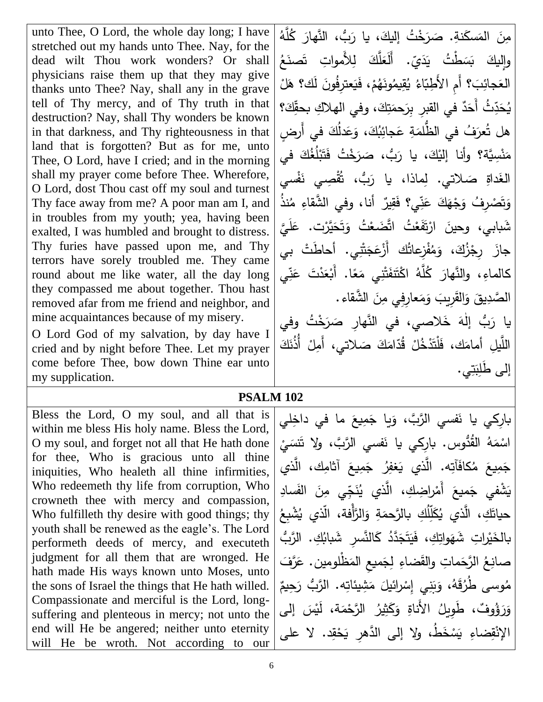unto Thee, O Lord, the whole day long; I have stretched out my hands unto Thee. Nay, for the dead wilt Thou work wonders? Or shall physicians raise them up that they may give thanks unto Thee? Nay, shall any in the grave tell of Thy mercy, and of Thy truth in that destruction? Nay, shall Thy wonders be known in that darkness, and Thy righteousness in that land that is forgotten? But as for me, unto Thee, O Lord, have I cried; and in the morning shall my prayer come before Thee. Wherefore, O Lord, dost Thou cast off my soul and turnest Thy face away from me? A poor man am I, and in troubles from my youth; yea, having been exalted, I was humbled and brought to distress. Thy furies have passed upon me, and Thy terrors have sorely troubled me. They came round about me like water, all the day long they compassed me about together. Thou hast removed afar from me friend and neighbor, and mine acquaintances because of my misery.

O Lord God of my salvation, by day have I cried and by night before Thee. Let my prayer come before Thee, bow down Thine ear unto my supplication.

مِنَ المَسكَنةِ. صَرَخْتُ إليكَ، يا رَبُّ، النَّهارَ كُلَّهُ َ .<br>م َ َ وإِليكَ بَسَطْتُ يَدَيّ. أَلَعَلَّكَ لِلأَمواتِ تَصنَعُ َ َ .<br>: .<br>-<br>-العَجائِبَ؟ أَمِ الأَطِبّاءُ يُقِيمُونَهُمْ، فَيَعترِفُونَ لَك؟ هَلْ |<br>العَجائِبَ؟ أَمِ الأَطِبّاءُ يُقِيمُونَهُمْ، فَيَعترِفُونَ لَك؟ هَلْ <u>َ</u>ـٰ  $\ddot{ }$ <u>ہ</u> ْ ّذِثُ أَحَدٌ في القبرِ بِرَحمَتِكَ، وفي الهلاكِ بحقِّكَ؟ َ َ ا<br>ا س د َ إن ي هل تُعرَفُ في الظُّلمَةِ عَجائِبُكَ، وَعَدلُكَ في أَرضٍ .<br>أ <u>م</u> َ َ ً<br>ٌ مَنْسِيَّة؟ وأنا إليْكَ، يا رَبُّ، صَرَخْتُ فَتَبْلُغُكَ في َ .<br>. <u>بَ</u> <u>ہ</u> َ َ َ <u>اب</u><br>ا الغَداةِ صَلاتي. لِماذا، يا رَبُّ، تُقْصِي نَفْسي <u>ا</u> ِ<br>مُ .<br>م وَتَصْرِفُ وَجْهَكَ عَنِّي؟ فَقِيرٌ أنا، وفي الشَّقاءِ مُنذُ <u>م</u> **ٔ** شَبابي، وحينَ ارْتَفَعْتُ اتَّضَعْتُ وَتَحَيَّرْت. عَلَيَّ  $\overline{a}$ َ َ َ ֡׆֧ .<br>ا ـَـٰ جازَ رِجْزُكَ، وَمُفْزِعاتُك أَزْعَجَتْنِي. أحاطَتْ بي **ٔ** َ  $\ddot{\bf s}$ َ كالماءِ، والنَّهارَ كُلَّهُ اكْتَنَفَتْنِي مَعًا. أَبْعَدْتَ عَنِّي <u>م</u> َ **ٔ** ا<br>ا ֡<u>֓</u>֖֖֡֡֡֡ .<br>م َ <u>ٔ</u> .<br>م الصَّدِيقَ وَالقَرِيبَ وَمَعارِفِي مِنَ الشَّقاء. .<br>-ً<br>ً َ **∶** يا رَبُّ إِلَٰهَ خَلاصي، في النَّهارِ صَرَخْتُ وفي َ ٰ َ اللَّيلِ أمامَك، فَلْتَدْخُلْ قُدّامَكَ صَلاتي، أَمِلْ أَذُنَكَ <u>ٰ</u> <u>ٰ</u> إلى طَلِبَتِي.

## **PSALM 102**

Bless the Lord, O my soul, and all that is within me bless His holy name. Bless the Lord, O my soul, and forget not all that He hath done for thee, Who is gracious unto all thine iniquities, Who healeth all thine infirmities, Who redeemeth thy life from corruption, Who crowneth thee with mercy and compassion, Who fulfilleth thy desire with good things; thy youth shall be renewed as the eagle's. The Lord performeth deeds of mercy, and executeth judgment for all them that are wronged. He hath made His ways known unto Moses, unto the sons of Israel the things that He hath willed. Compassionate and merciful is the Lord, longsuffering and plenteous in mercy; not unto the end will He be angered; neither unto eternity will He be wroth. Not according to our

بارِكي يا نَفسي الرَّبَّ، وَيا جَمِيعَ ما في داخِلي  $\zeta$ ֺ֧<sup>ֺ</sup> َ **ٔ** اسْمَهُ الْقُدُّوس. بارِكِي يا نَفسي الزَّبَّ، ولا نَتَسَيْ <u>آ</u> ا<br>ا ْ جَمِيعَ مُكافَآتِه. الَّذي يَغفِرُ جَمِيعَ آثامِك، الَّذي  $\zeta$  $\ddot{\phantom{0}}$  $\ddot{=}$ و َلَد ُُف وا مو س َج إ د ي ، ُر وض وكَ ُُ َم َ م ش َ ْشفا ج َ ي  $\frac{1}{\sqrt{2}}$ ا<br>ا َ حياتَكِ، الَّذي يُكَلِّلُكِ بالرَّحمَةِ وَالرَّأْفة، الَّذي يُشْبِعُ ا<br>ا س َ بِالْخَيْراتِ شَهَواتِكِ، فَيَتَجَدَّدُ كَالنَّسرِ شَبابُكِ. الرَّبُّ َ  $\ddot{\phantom{0}}$ .<br>ا َ  $\epsilon$ ْ صانِعُ الرَّحَماتِ والقَضاءِ لِجَميعِ المَظْلومين. عَرَّفَ <u>م</u> ا<br>ا َ مُوسى طُرُقَهُ، وَبَنِي إِسْرائيلَ مَشِيئاتِه. الرَّبُّ رَحِيمٌ َ ا<br>ا  $\overline{\phantom{0}}$ ْ َ َ وَرَؤُوفٌ، طَوِيلُ الأَناةِ وَكَثِيرُ الرَّحْمَة، لَيْسَ إلى َ َ َ ــ<br>-الإِنْقِضاءِ يَسْخَطُ، ولا إلى الدَّهرِ يَحْقِد. لا على ْ َ ْ <u>َ</u>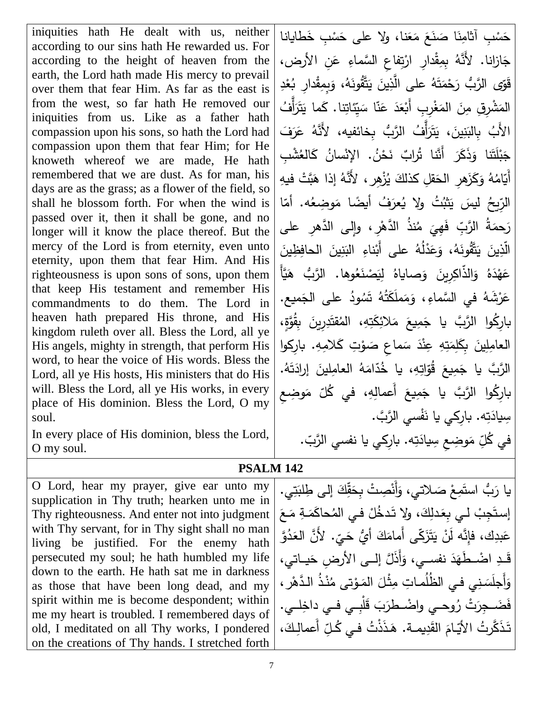iniquities hath He dealt with us, neither according to our sins hath He rewarded us. For according to the height of heaven from the earth, the Lord hath made His mercy to prevail over them that fear Him. As far as the east is from the west, so far hath He removed our iniquities from us. Like as a father hath compassion upon his sons, so hath the Lord had compassion upon them that fear Him; for He knoweth whereof we are made, He hath remembered that we are dust. As for man, his days are as the grass; as a flower of the field, so shall he blossom forth. For when the wind is passed over it, then it shall be gone, and no longer will it know the place thereof. But the mercy of the Lord is from eternity, even unto eternity, upon them that fear Him. And His righteousness is upon sons of sons, upon them that keep His testament and remember His commandments to do them. The Lord in heaven hath prepared His throne, and His kingdom ruleth over all. Bless the Lord, all ye His angels, mighty in strength, that perform His word, to hear the voice of His words. Bless the Lord, all ye His hosts, His ministers that do His will. Bless the Lord, all ye His works, in every place of His dominion. Bless the Lord, O my soul.

In every place of His dominion, bless the Lord, O my soul.

حَسْبِ أَثَامِنَا صَنَعَ مَعَنا، ولا على حَسْبِ خَطايانا ْ َ ً<br>ً  $\zeta$ َ ْ جَازانا. لأَنَّهُ بِمِقْدارِ ارْتِفاعِ السَّماءِ عَنِ الأرض، <u>م</u> .<br>ا .<br>ا قَوَّى الرَّبُّ رَحْمَتَهُ على الَّذِينَ يَتَّقُونَهُ، وَبِمِقْدارِ بُعْدِ َ َ ـا<br>ا .<br>-ً<br>ٌ **ٔ** ْ المَشْرِقِ مِنَ المَغْرِبِ أَبْعَدَ عَنّا سَيِّئاتِنا. كَما يَتَرَأَّفُ َ َـاً؛ ً<br>ب <u>م</u> َ **ٔ** ْ ا<br>ا الأَبُ بِالبَنِينَ، يَتَرَأَّفُ الرَّبُّ بِخائفيه، لأَنَّهُ عَرَفَ َ .<br>با جَبْلَتَنا وَذَكَرَ أَنَّنا تُرابٌ نَحْنُ. الإِنْسانُ كَالغُشْبِ<br>حَي َ .<br>. أَيّامُهُ وَكَزَهرِ الحَقلِ كذلكَ يُزْهِرِ ، لأَنَّهُ إذا هَبَّتْ فيهِ َ َ ا<br>أ الرِّيحُ ليسَ يَثْبُتُ ولا يُعرَفُ أيضًا مَوضِعُه. أمّا ً<br>ً .<br>ا رَحمَةُ الرَّبِّ فَهِيَ مُنذُ الدَّهْرِ ، وإِلى الدَّهْرِ على<br>س ئی<br>خا .<br>; <u>ہ</u> .<br>-الَّذِينَ يَتَّقُونَهُ، وَعَدْلُهُ على أَبْناءِ البَنِينَ الحافِظِينَ .<br>-.<br>ا <u>َبا</u> .<br>-<br>-<u>ء</u> َ عَهْدَهُ وَالذَّاكِرِينَ وَصاياهُ لِيَصْنَعُوها. الرَّبُ هَيَّأَ **ٔ** عَرْشَهُ في السَّماءِ، وَمَملَكَتُهُ تَسُودُ على الجَميع. **∶** َ ا<br>ا َ .<br>ا بارِكُوا الرَّبَّ يا جَمِيعَ مَلائِكَتِهِ، المُقتَدِرِينَ بِقُوَّةٍ، .<br>ا َ  $\zeta$ ֺ֧<sup>ֺ</sup> العامِلِينَ بِكَلِمَتِهِ عِنْدَ سَماعِ صَوْتِ كَلامِهِ. بارِكوا ؛<br>' َ ً<br>ب <u>ا</u><br>ا ا<br>ا الرَّبَّ يا جَمِيعَ قُوّاتِهِ، يا خُدّامَهُ العامِلينَ إرادَتَهُ. ا<br>ا  $\zeta$ .<br>ا .<br>-بارِكُوا الرَّبَّ يا جَمِيعَ أَعمالِهِ، في كُلّ مَوضِعِ ا<br>ا  $\zeta$ ֺ֧<sup>ֺ</sup> سِيادَتِه. بارِكي يا نَفْسي الرَّبَّ. ا<br>ا في كُلِّ مَوضِعِ سِيادَتِه. بارِكي يا نفسي الرَّبّ. .<br>ا

## **PSALM 142**

O Lord, hear my prayer, give ear unto my supplication in Thy truth; hearken unto me in Thy righteousness. And enter not into judgment with Thy servant, for in Thy sight shall no man living be justified. For the enemy hath persecuted my soul; he hath humbled my life down to the earth. He hath sat me in darkness as those that have been long dead, and my spirit within me is become despondent; within me my heart is troubled. I remembered days of old, I meditated on all Thy works, I pondered on the creations of Thy hands. I stretched forth

يَا رَبُّ استَمِعْ صَلاتي، وَأَنْصِتْ بِحَقِّكَ إلى طِلبَتِي. َ َ َ ْ َ  $\zeta$ إستَجِبْ لـي بِعَدلِكَ، ولا تَدخُلْ فـي المُحاكَمَةِ مَـعَ ا<br>ا ا<br>ا <u>ٰ</u> َ َ **ٔ** َ مَبدِك، فإِنَّه لَنْ يَتَزَكّى أَمامَكَ أَيُّ حَيِّ. لأَنَّ العَدُوَّ ـا<br>ا .<br>-**ء** ڪَيِّ<br>ء قَـدِ اضْـطَهَدَ نفسـي، وَأَذَلَّ إلــى الأرضِ حَيــاتي، َ َ  $\ddot{ }$ .<br>-<br>-وَأَجلَسَنِي في الظُلُمـاتِ مِثْلَ المَوْتى مُنْذُ الدَّهْرِ ، ؛<br>' ٔ  $\overline{\phantom{0}}$ فَضَـجِرَتْ رُوحـي واضْـطرَبَ قَلْبِـي فـي دِاخِلــي. **:** ِّ أَعمالِكَ، َ تَذَكَّرتُ الأَيّامَ القَدِيمـة. هَذَذْتُ فـي كُلِّ ر<br>گ مُ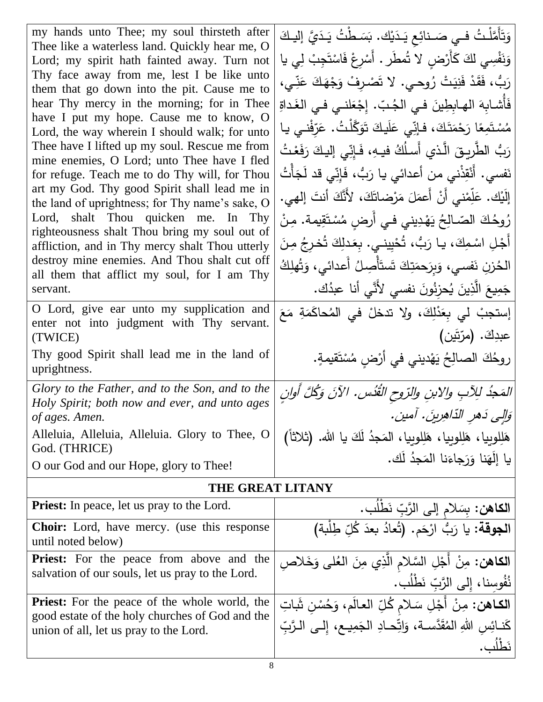| my hands unto Thee; my soul thirsteth after<br>Thee like a waterless land. Quickly hear me, O<br>Lord; my spirit hath fainted away. Turn not<br>Thy face away from me, lest I be like unto<br>them that go down into the pit. Cause me to<br>hear Thy mercy in the morning; for in Thee<br>have I put my hope. Cause me to know, O<br>Lord, the way wherein I should walk; for unto<br>Thee have I lifted up my soul. Rescue me from<br>mine enemies, O Lord; unto Thee have I fled<br>for refuge. Teach me to do Thy will, for Thou<br>art my God. Thy good Spirit shall lead me in<br>the land of uprightness; for Thy name's sake, O<br>Lord, shalt Thou quicken me. In Thy<br>righteousness shalt Thou bring my soul out of<br>affliction, and in Thy mercy shalt Thou utterly<br>destroy mine enemies. And Thou shalt cut off<br>all them that afflict my soul, for I am Thy<br>servant.<br>O Lord, give ear unto my supplication and<br>enter not into judgment with Thy servant.<br>(TWICE)<br>Thy good Spirit shall lead me in the land of | وَتَأَمَّلْتُ فـي صَـنائِع يَـدَيْكَ. بَسَـطْتُ يَـدَيَّ إليـكَ<br>وَنَفْسِي لكَ كَأَرْضٍ لا تُمطَر . أَسْرِعْ فَاسْتَجِبْ لِي يا<br>رَبُّ، فَقَدْ فَنِيَتْ رُوحي. لا تَصْرِفْ وَجْهَكَ عَنِّي،<br>فَأَشابِهَ الهابِطِينَ فـى الجُبّ. إِجْعَلنـى فـى الغَداةِ<br>مُسْتَمِعًا رَحْمَتَكَ، فإنِّي عَلَيكَ تَوَكَّلْتُ. عَرَّفْني يـا<br>رَبُ الطَّرِيقَ الَّذي أَسلُكُ فيهِ، فَإنِّي إليكَ رَفَعْتُ<br>نَفسي. أَنْقِذْني من أعدائي يا رَبُّ، فَإِنِّى قد لَجَأْتُ<br>إِلَيْك. عَلِّمْني أَنْ أَعمَلَ مَرْضاتَكَ، لأَنَّكَ أنتَ إلهي.<br>رُوحُكَ الصّـالِحُ يَهْدِيني في أَرضِ مُسْتَقِيمة. مِنْ<br>أَجْلِ اسْمِكَ، يا رَبُّ، تُحْيِينـى. بِعَدلِكَ تُخرجُ مِنَ<br>الحُزنِ نَفسى، وَبِرَحمَتِكَ تَستَأْصِلُ أَعدائى، وَتُهلِكُ<br>جَمِيعَ الَّذِينَ يُحزِنُونَ نفسي لأَنَّي أنا عبدُك.<br>إستجبْ لي بِعَدْلِكَ، ولا تدخلْ في المُحاكَمَةِ مَعَ<br>عبدِكَ. (مرّتَين)<br>روحُكَ الصالِحُ يَهْديني في أَرْضِ مُسْتَقيمةٍ. |
|----------------------------------------------------------------------------------------------------------------------------------------------------------------------------------------------------------------------------------------------------------------------------------------------------------------------------------------------------------------------------------------------------------------------------------------------------------------------------------------------------------------------------------------------------------------------------------------------------------------------------------------------------------------------------------------------------------------------------------------------------------------------------------------------------------------------------------------------------------------------------------------------------------------------------------------------------------------------------------------------------------------------------------------------------|---------------------------------------------------------------------------------------------------------------------------------------------------------------------------------------------------------------------------------------------------------------------------------------------------------------------------------------------------------------------------------------------------------------------------------------------------------------------------------------------------------------------------------------------------------------------------------------------------------------------------------------------------------------------------------------------------------------------------------------------------------------------------------------------------------------------------------------------------------------------------------------------------------------------|
| uprightness.<br>Glory to the Father, and to the Son, and to the<br>Holy Spirit; both now and ever, and unto ages                                                                                                                                                                                                                                                                                                                                                                                                                                                                                                                                                                                                                                                                                                                                                                                                                                                                                                                                   | المَحِدُ لِلِآبِ والابنِ والرّوحِ القُدُسِ. الآنَ وَكُلَّ أُوانِ<br>وَإِلِي دَهرِ الدَّاهِرينَ. آمين.                                                                                                                                                                                                                                                                                                                                                                                                                                                                                                                                                                                                                                                                                                                                                                                                               |
| of ages. Amen.<br>Alleluia, Alleluia, Alleluia. Glory to Thee, O                                                                                                                                                                                                                                                                                                                                                                                                                                                                                                                                                                                                                                                                                                                                                                                                                                                                                                                                                                                   | هَلِلوبِيا، هَلِلوبِيا، هَلِلوبِيا، المَجدُ لَكَ يا الله. (ثلاثاً)                                                                                                                                                                                                                                                                                                                                                                                                                                                                                                                                                                                                                                                                                                                                                                                                                                                  |
| God. (THRICE)<br>O our God and our Hope, glory to Thee!                                                                                                                                                                                                                                                                                                                                                                                                                                                                                                                                                                                                                                                                                                                                                                                                                                                                                                                                                                                            | يا إِلَهَنا وَرَجاءَنا المَجِدُ لَك.                                                                                                                                                                                                                                                                                                                                                                                                                                                                                                                                                                                                                                                                                                                                                                                                                                                                                |
| <b>THE GREAT LITANY</b>                                                                                                                                                                                                                                                                                                                                                                                                                                                                                                                                                                                                                                                                                                                                                                                                                                                                                                                                                                                                                            |                                                                                                                                                                                                                                                                                                                                                                                                                                                                                                                                                                                                                                                                                                                                                                                                                                                                                                                     |
| <b>Priest:</b> In peace, let us pray to the Lord.                                                                                                                                                                                                                                                                                                                                                                                                                                                                                                                                                                                                                                                                                                                                                                                                                                                                                                                                                                                                  |                                                                                                                                                                                                                                                                                                                                                                                                                                                                                                                                                                                                                                                                                                                                                                                                                                                                                                                     |
| <b>Choir:</b> Lord, have mercy. (use this response<br>until noted below)                                                                                                                                                                                                                                                                                                                                                                                                                                                                                                                                                                                                                                                                                                                                                                                                                                                                                                                                                                           | <mark>الكاهن:</mark> بِسَلامِ إلى الرَّبِّ نَطْلُب.<br>ا <b>لجوقة:</b> يا رَبُّ ارْحَم. (تُعادُ بعدَ كُلِّ طِلْبة <b>)</b>                                                                                                                                                                                                                                                                                                                                                                                                                                                                                                                                                                                                                                                                                                                                                                                          |
| <b>Priest:</b> For the peace from above and the<br>salvation of our souls, let us pray to the Lord.                                                                                                                                                                                                                                                                                                                                                                                                                                                                                                                                                                                                                                                                                                                                                                                                                                                                                                                                                | ا <b>لكاهن:</b> مِنْ أَجْلِ السَّلامِ الَّذِي مِنَ العُلى وَخَلاصِ<br>نُفُوسِنا، إِلى الرَّبِّ نَطْلُب.                                                                                                                                                                                                                                                                                                                                                                                                                                                                                                                                                                                                                                                                                                                                                                                                             |
| <b>Priest:</b> For the peace of the whole world, the<br>good estate of the holy churches of God and the<br>union of all, let us pray to the Lord.                                                                                                                                                                                                                                                                                                                                                                                                                                                                                                                                                                                                                                                                                                                                                                                                                                                                                                  | الكاهن: مِنْ أَجْلِ سَلامٍ كُلِّ العالَمِ، وَحُسْنِ شَاتِ<br>كَنــائِسِ اللهِ المُقَدَّســة، وَاتِّحــادِ الـجَمِيــع، إِلــى الـرَّبِّ<br>نَطْلُبٍ.                                                                                                                                                                                                                                                                                                                                                                                                                                                                                                                                                                                                                                                                                                                                                                |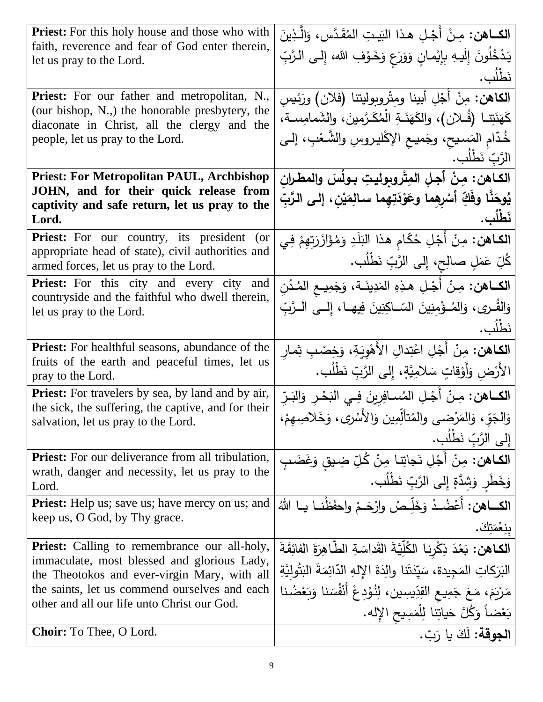| <b>Priest:</b> For this holy house and those who with<br>faith, reverence and fear of God enter therein,  | الكــاهن: مِـنْ أَجْـلِ هـذا البَيـتِ المُقَـدَّس، وَالّْـذِينَ               |
|-----------------------------------------------------------------------------------------------------------|-------------------------------------------------------------------------------|
| let us pray to the Lord.                                                                                  | يَدْخُلُونَ إِلَيهِ بِإِيْمانٍ وَوَرَعٍ وَخَوْفِ الله، إِلـى الرَّبِّ         |
|                                                                                                           | نَطْلُبٍ.                                                                     |
| <b>Priest:</b> For our father and metropolitan, N.,                                                       | الكاهن: مِنْ أَجْلِ أبينا ومِثْروبوليتنا (فلان) ورَئِيسِ                      |
| (our bishop, N.,) the honorable presbytery, the<br>diaconate in Christ, all the clergy and the            | كَهَنَتِنا (فُـلان)، والكَهَنَـةِ الْمُكَـرَّمينَ، والشَمامِسـة،              |
| people, let us pray to the Lord.                                                                          | خُدّام المَسيح، وجَميع الإكْليروسِ والشَّعْبِ، إلـى                           |
|                                                                                                           | الرَّبِّ نَطلُبٍ.                                                             |
| <b>Priest: For Metropolitan PAUL, Archbishop</b><br>JOHN, and for their quick release from                | الكــاهن: مِنْ أَجلِ المِتْروبِوليتِ بـولُسَ والمطـرانِ                       |
| captivity and safe return, let us pray to the                                                             | يُوحَنَّا وفَكِّ أَسْرِهِما وعَوْدَتِهِما سالمِنَيْنِ، إلى الرَّبِّ           |
| Lord.                                                                                                     | نَطْلُبٍ .                                                                    |
| <b>Priest:</b> For our country, its president<br>(or<br>appropriate head of state), civil authorities and | ا <b>لكـاهن:</b> مِنْ أَجْلِ حُكّامِ هذا البَلَدِ وَمُؤَازَرَتِهِمْ فِي       |
| armed forces, let us pray to the Lord.                                                                    | كُلِّ عَمَلٍ صالِحٍ، إِلى الزَّبِّ نَطْلُبٍ.                                  |
| <b>Priest:</b> For this city and every city and                                                           | ا <b>لكــاهن:</b> مِـنْ أَجْـلِ هـذِهِ المَدِينَــة، وَجَمِيــع المُـدُنِ     |
| countryside and the faithful who dwell therein,<br>let us pray to the Lord.                               | وَالقُـرِي، وَالمُـؤْمِنِينَ السّــاكِنِينَ فِيهــا، إِلــى الــرَّبِّ        |
|                                                                                                           | نَطلُب.                                                                       |
| <b>Priest:</b> For healthful seasons, abundance of the                                                    | ا <b>لكاهن:</b> مِنْ أَجْلِ اعْتِدالِ الأَهْوِيَةِ، وَخِصْبِ ثِمار            |
| fruits of the earth and peaceful times, let us<br>pray to the Lord.                                       | الأَرْض وَأَوْقاتٍ سَلامِيَّةٍ، إلى الرَّبِّ نَطْلُبٍ.                        |
| <b>Priest:</b> For travelers by sea, by land and by air,                                                  | ا <b>لكــاهن:</b> مِـنْ أَجْـلِ المُســافِرِينَ فِـي البَحْـرِ وَالبَـرِّ     |
| the sick, the suffering, the captive, and for their<br>salvation, let us pray to the Lord.                | وَالجَوِّ، وَالمَرْضـى والمُتألِّمِين وَالأَسْرى، وَخَلاصِهِمْ،               |
|                                                                                                           | إلى الرَّبّ نَطْلُب.                                                          |
| <b>Priest:</b> For our deliverance from all tribulation,                                                  | ا <b>لكـاهن:</b> مِنْ أَجْلِ نَجاتِنا مِنْ كُلِّ ضِيقِ وَغَضَبٍ               |
| wrath, danger and necessity, let us pray to the<br>Lord.                                                  | وَخَطَرٍ وَشَدَّةٍ إِلَى الرَّبِّ نَطْلُبٍ.                                   |
| <b>Priest:</b> Help us; save us; have mercy on us; and                                                    | ا <b>لكـــاهن:</b> أَعْضُــدْ وَخَلِّـصْ وارْحَــمْ واحفَظْنــا يــا اللهُ    |
| keep us, O God, by Thy grace.                                                                             | بنِعْمَتِكَ.                                                                  |
| <b>Priest:</b> Calling to remembrance our all-holy,                                                       | الكاهن: بَعْدَ ذِكْرِنا الكُلِّيَّةَ القَداسَةِ الطَّاهِرَةَ الفائِقَةَ       |
| immaculate, most blessed and glorious Lady,<br>the Theotokos and ever-virgin Mary, with all               | البَرَكاتِ المَجِيدة، سَيِّدَتَنا والِدَةَ الإِلهِ الدّائِمَةَ البَثُولِيَّةِ |
| the saints, let us commend ourselves and each                                                             | مَرْيَمَ، مَعَ جَمِيعِ القِدِّيسِينِ، لِنُوْدِعُ أَنْفُسَنا وَبَعْضُنا        |
| other and all our life unto Christ our God.                                                               | بَعْضاً وَكُلَّ حَياتِنا لِلْمَسِيحِ الإِله.                                  |
| <b>Choir:</b> To Thee, O Lord.                                                                            | الجوقة: لَكَ يا رَبّ.                                                         |
|                                                                                                           |                                                                               |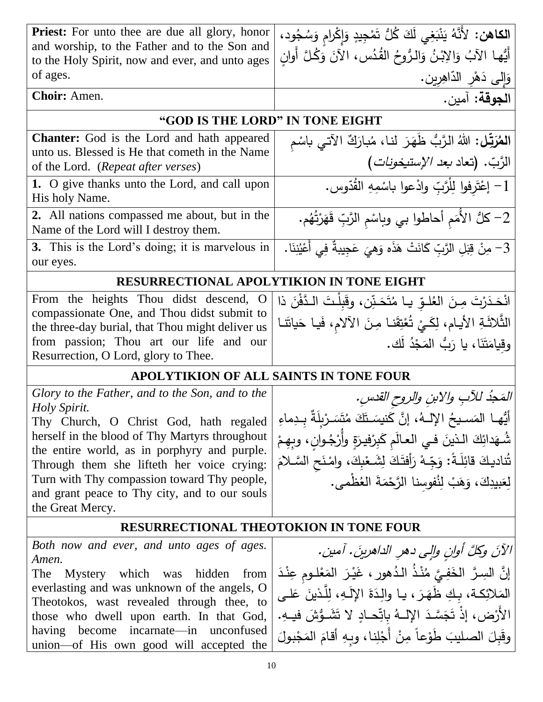| <b>Priest:</b> For unto thee are due all glory, honor                                                              | ا <b>لكاهن:</b> لأَنَّهُ يَنْبَغِي لَكَ كُلُّ تَمْجِيدٍ وَإِكْرامٍ وَسُجُودٍ،                                     |
|--------------------------------------------------------------------------------------------------------------------|-------------------------------------------------------------------------------------------------------------------|
| and worship, to the Father and to the Son and<br>to the Holy Spirit, now and ever, and unto ages                   | أَيُّها الآبُ وَالِإِبْنُ وَالرُّوحُ الْقُدُسِ، الآنَ وَكُلَّ أُوانِ                                              |
| of ages.                                                                                                           | وَإِلَى دَهْرِ الدَّاهِرِينِ.                                                                                     |
| Choir: Amen.                                                                                                       | الجوقة: آمين.                                                                                                     |
| "GOD IS THE LORD" IN TONE EIGHT                                                                                    |                                                                                                                   |
| Chanter: God is the Lord and hath appeared                                                                         |                                                                                                                   |
| unto us. Blessed is He that cometh in the Name                                                                     |                                                                                                                   |
| of the Lord. (Repeat after verses)                                                                                 | ا <b>لمُرَتِّل:</b> اللهُ الرَّبُّ ظَهَرَ لنـا، مُبارَكٌ الآتـي باسْمِ<br>الرَّبّ. (تعاد <i>بعد الإستيخونات</i> ) |
| 1. O give thanks unto the Lord, and call upon<br>His holy Name.                                                    | 1– إعْتَرِفوا لِلْرَّبِّ وإدْعوا باسْمِهِ القُدّوسِ.                                                              |
| 2. All nations compassed me about, but in the<br>Name of the Lord will I destroy them.                             | 2– كلٌ الأمَم أحاطوا بي وباسْم الرَّبِّ قَهَرْتُهُم.                                                              |
| 3. This is the Lord's doing; it is marvelous in<br>our eyes.                                                       | ِ 3– مِنْ قِبَلِ الرَّبِّ كَانَتْ هَذَه وَهِيَ عَجِيبةٌ فِي أَعْيُنِنَا.                                          |
| <b>RESURRECTIONAL APOLYTIKION IN TONE EIGHT</b>                                                                    |                                                                                                                   |
| From the heights Thou didst descend, O                                                                             | انْحَدَرْتَ مِنَ العُلوِّ يـا مُتَحَنِّن، وقَبِلْتَ الدَّفْنَ ذا                                                  |
| compassionate One, and Thou didst submit to                                                                        |                                                                                                                   |
| the three-day burial, that Thou might deliver us                                                                   | الثَّلاثَةِ الأيام، لِكَيْ تُعْتِقَنا مِنَ الآلام، فَيا حَياتَنا                                                  |
| from passion; Thou art our life and our                                                                            | وقيامَتَنَا، يا رَبُّ المَجْدُ لَك.                                                                               |
| Resurrection, O Lord, glory to Thee.                                                                               |                                                                                                                   |
| <b>APOLYTIKION OF ALL SAINTS IN TONE FOUR</b>                                                                      |                                                                                                                   |
| Glory to the Father, and to the Son, and to the<br>Holy Spirit.                                                    | المَحِدُ للآبِ والابنِ والروحِ القدسِ.                                                                            |
| أَيُّهما الْمَسـيحُ الإِلـهُ، إِنَّ كَنيسَـتَكَ مُتَسَـرْبِلَةٌ بِـدِماءِ   Thy Church, O Christ God, hath regaled |                                                                                                                   |
| herself in the blood of Thy Martyrs throughout                                                                     | شُهَدائِكَ الذينَ في العالَمِ كَبِرْفِيرَةٍ وأَرْجُوانِ، وبِهِمْ                                                  |
| the entire world, as in porphyry and purple.                                                                       | تُناديكَ قائِلَةً: وَجِّهْ رَأِفتَكَ لِشَعْبِكَ، وامْنَحِ السَّلامَ                                               |
| Through them she lifteth her voice crying:<br>Turn with Thy compassion toward Thy people,                          |                                                                                                                   |
| and grant peace to Thy city, and to our souls                                                                      | لِعَبِيدِكَ، وَهَبْ لِنُفُوسِنا الرَّحْمَةَ العُظْمى.                                                             |
| the Great Mercy.                                                                                                   |                                                                                                                   |
| <b>RESURRECTIONAL THEOTOKION IN TONE FOUR</b>                                                                      |                                                                                                                   |
| Both now and ever, and unto ages of ages.                                                                          | الآنَ وكلَّ أوانِ وإلى دهرِ الداهرينَ. آمين.                                                                      |
| Amen.                                                                                                              | إِنَّ السِرَّ الخَفِيَّ مُنْذُ الدُهورِ ، غَيْرَ المَعْلومِ عِنْدَ                                                |
| The<br>Mystery which was hidden from<br>everlasting and was unknown of the angels, O                               |                                                                                                                   |
| Theotokos, wast revealed through thee, to                                                                          | المَلائِكة، بكِ ظَهَرَ ، يـا والِدَةَ الإِلَـهِ، لِلَّذينَ عَلـى                                                  |
| those who dwell upon earth. In that God,                                                                           | الأَرْضِ، إِذْ تَجَسَّدَ الإِلْــهُ بِاتِّحــادٍ لا تَشَــوُّشَ فيــهِ.                                           |
| having become incarnate—in unconfused<br>union—of His own good will accepted the                                   | وقَبلَ الصليبَ طَوْعاً مِنْ أَجْلِنا، وبِهِ أقامَ المَجْبولَ                                                      |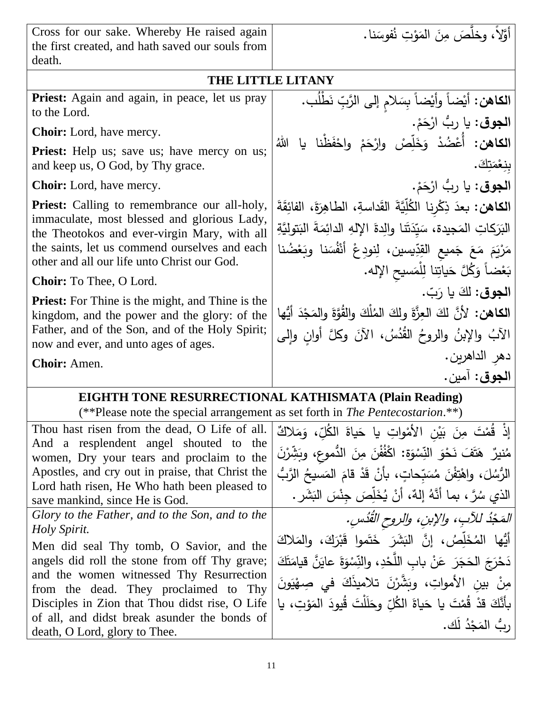Cross for our sake. Whereby He raised again the first created, and hath saved our souls from death.

ا**لجوق:** يا رِبُّ ارْحَمْ.<br>\*

ا**لجوق**: يا ربُّ ارْحَمْ.

مَرْيَمَ مَعَ جَميعِ القِدِّ<br>مُشْتَمَعَ مَنْ

ا**لجوق:** لكَ يا رَبّ.

دهر الداهرين.

ا**لجو ق**ُ: آمين.

<sub>ب</sub>ْنِعْمَتِكَ. ْ

.<br>ا

**الكاهن:** أَيْضاً وأَيْضاً بِسَلامٍ إلى الرَّبِّ نَطْلُب.<br>.

**الكاهن: أُعْضُدْ وَخَلِّصْ وارْحَمْ واحْفَظْنا يا اللهُ** 

ا**لكاهن:** بعدَ ذِكْرِنا الكُلِّيَّةَ القَداسةِ، الطاهِرَةَ، الفائِقَةَ

الْبَرَكَاتِ الْمَجيدة، سَيِّدَتَنا والِدةَ الإِلهِ الدائِمَةَ الْبَتوليَّةِ<br>-

ا**لكاهن:** لأنَّ لكَ العِزَّةَ ولكَ المُلْكَ والقُوَّةَ والمَجْدَ أيُّها<br>يَجْمَعُ الْمَسْنَةِ الْمَسْنَةِ

الْأَبُ والإبنُ والروحُ القُدُسُ، الآنَ وكلَّ أوانٍ وإلى

َ

َ

س

<u>آ</u> .<br>-ً<br>أ

ا<br>ا

ْ َ

َ َ

> ْ َ

> > <u>ٔ</u>

بَعْضاً وَكُلَّ حَياتِنا لِلْمَسيحِ الإله. َ

َ

## **THE LITTLE LITANY**

َ

<u>ٔ</u>

 $\ddot{\phantom{a}}$ َ

ا<br>ا

ً<br>ب ْ

دِّيسين، لِنودِعْ أَنْفُسَنا وبَعْضُنا

َ

 $\ddot{\phantom{0}}$ 

**:** ا<br>ا ْ َ

**Priest:** Again and again, in peace, let us pray to the Lord.

**Choir:** Lord, have mercy.

**Priest:** Help us; save us; have mercy on us; and keep us, O God, by Thy grace.

**Choir:** Lord, have mercy.

**Priest:** Calling to remembrance our all-holy, immaculate, most blessed and glorious Lady, the Theotokos and ever-virgin Mary, with all the saints, let us commend ourselves and each other and all our life unto Christ our God.

**Choir:** To Thee, O Lord.

**Priest:** For Thine is the might, and Thine is the kingdom, and the power and the glory: of the Father, and of the Son, and of the Holy Spirit; now and ever, and unto ages of ages.

**Choir:** Amen.

# **EIGHTH TONE RESURRECTIONAL KATHISMATA (Plain Reading)**

(\*\*Please note the special arrangement as set forth in *The Pentecostarion*.\*\*)

| Thou hast risen from the dead, O Life of all.<br>And a resplendent angel shouted to the<br>women, Dry your tears and proclaim to the<br>Apostles, and cry out in praise, that Christ the<br>Lord hath risen, He Who hath been pleased to<br>save mankind, since He is God.                                                                                                           | إِذْ قُمْتَ مِنَ بَيْنِ الأَمْواتِ يا حَياةَ الكُلِّ، وَمَلاكٌ<br>مُنيرٌ ۚ هَتَفَ نَحْوَ النِّسْوَةِ: اكْفُفْنَ مِنَ الدُّموعِ، وبَشِّرْنَ<br>الرُّسُلَ، واهْتِفْنَ مُسَبّحاتٍ، بأَنْ قَدْ قامَ المَسيحُ الرَّبُّ<br>الذي سُرَّ ، بما أنَّهُ إلهٌ، أنْ يُخَلِّصَ جِنْسَ البَشَرِ .                                                          |
|--------------------------------------------------------------------------------------------------------------------------------------------------------------------------------------------------------------------------------------------------------------------------------------------------------------------------------------------------------------------------------------|---------------------------------------------------------------------------------------------------------------------------------------------------------------------------------------------------------------------------------------------------------------------------------------------------------------------------------------------|
| Glory to the Father, and to the Son, and to the<br>Holy Spirit.<br>Men did seal Thy tomb, O Savior, and the<br>angels did roll the stone from off Thy grave;<br>and the women witnessed Thy Resurrection<br>from the dead. They proclaimed to Thy<br>Disciples in Zion that Thou didst rise, O Life<br>of all, and didst break asunder the bonds of<br>death, O Lord, glory to Thee. | المَجْدُ للآبِ، والإبنِ، والروح القُدُسِ.<br>أَيُّها المُخَلِّصُ، إنَّ البَشَرَ خَتَموا قَبْرَكَ، والمَلاكَ<br>دَحْرَجَ الْحَجَرَ  عَنْ باب اللَّحْدِ، والنِّسْوَةَ عايَنَّ قيامَتَكَ<br>مِنْ بين الأمواتِ، وبَشَّرْنَ تلاميذَكَ في صِهْيَونَ<br>بأَنَّكَ قدْ قُمْتَ يا حَياةَ الكُلِّ وحَلَلْتَ قُيودَ المَوْتِ، يا<br>رِبُّ المَجْدُ لَك. |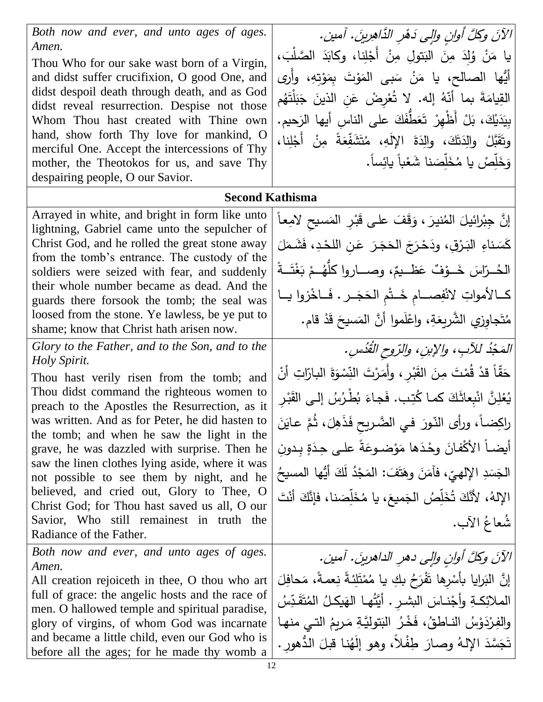*Both now and ever, and unto ages of ages. Amen.* 

Thou Who for our sake wast born of a Virgin, and didst suffer crucifixion, O good One, and didst despoil death through death, and as God didst reveal resurrection. Despise not those Whom Thou hast created with Thine own hand, show forth Thy love for mankind, O merciful One. Accept the intercessions of Thy mother, the Theotokos for us, and save Thy despairing people, O our Savior.

دَهْرِ الدَّاهِرينَ الآنَ وكُلَّ أُوانٍ وإلى دَهْرِ الذَّاهِرِينَ. آمين.  $\frac{1}{2}$ يا مَنْ وُلِدَ مِنَ البَتولِ مِنْ أَجْلِنا، وكابَدَ الصَّلْبَ،<br>مُوسِيق اللهَ عَنْ اللهَ عَلَيْ مِنْ الْجَلِنا، وكابَدَ الصَّلْبَ، **:** :<br>ا َ ֺ<u>֓</u> <u>:</u> َ أَيُّها الصالح، يا مَنْ سَبِي المَوْتَ بِمَوْتِهِ، وأَرَى ؛<br>' ا<br>ا ا<br>ا ً<br>ب ا<br>ا م إ َن ْ م ب َ ج و ُُ ي ْض ور إت هُ . ت إ س َة بمَ ن َ َم ُُ و .<br>ا  $\ddot{\phantom{0}}$ <u>م</u> ْ بِيَدَيْكَ، بَلْ أَظْهِرْ تَعَطَّفَكَ على الناسِ أيها الرَحيم.<br>-**ء** .<br>ب ֡֡<u>֡</u> وتَقَبَّلْ والِدَتَكَ، والِدَةَ الإِلَهِ، مُتَشَفِّعَةً مِنْ أَجْلِنا، َ .<br>ا َ ֡֡<u>֡</u> **:** .<br>-**ء** وَخَلِّصْ يا مُخَلِّصَنا شَعْباً يائِساً. ْ َ س َ س

## **Second Kathisma**

Arrayed in white, and bright in form like unto lightning, Gabriel came unto the sepulcher of Christ God, and he rolled the great stone away from the tomb's entrance. The custody of the soldiers were seized with fear, and suddenly their whole number became as dead. And the guards there forsook the tomb; the seal was loosed from the stone. Ye lawless, be ye put to shame; know that Christ hath arisen now.

*Glory to the Father, and to the Son, and to the Holy Spirit.* 

Thou hast verily risen from the tomb; and Thou didst command the righteous women to preach to the Apostles the Resurrection, as it was written. And as for Peter, he did hasten to the tomb; and when he saw the light in the grave, he was dazzled with surprise. Then he saw the linen clothes lying aside, where it was not possible to see them by night, and he believed, and cried out, Glory to Thee, O Christ God; for Thou hast saved us all, O our Savior, Who still remainest in truth the Radiance of the Father.

*Both now and ever, and unto ages of ages. Amen.*

All creation rejoiceth in thee, O thou who art full of grace: the angelic hosts and the race of men. O hallowed temple and spiritual paradise, glory of virgins, of whom God was incarnate and became a little child, even our God who is before all the ages; for he made thy womb a إنَّ جِبْرائيلَ المُنيرَ ، وَقَفَ على قَبْرِ المَسيحِ لامِعاً ا<br>ا .<br>. <u>ة</u> َ َ َ **ٔ**  $\overline{\phantom{a}}$ كَسَناءِ البَرْقِ، ودَحْرَجَ الحَجَرَ عَنِ اللَّحْدِ، فَشَمَلَ ا<br>ا <u>ٔ</u> <u>م</u> َ ੍ **ـ** الْمُــرّاسَ خَــوْفٌ عَظــيمٌ، وصــــاروا كلَّهُـــمْ بَغْتَـــةً .<br>د َ ْ كــالأمواتِ لانْفِصـــامِ خَــتْمِ الحَجَــرِ . فَــاخْزوا يــا َ ֺ֧<sup>֓</sup> <u>:</u> <u>َ</u> <u>َ</u> مُتَجاوِزِي الشَّرِيِعَةِ، واعْلَموا أنَّ المَسيحَ قَدْ قام. ْ َ  $\ddot{\phantom{0}}$ ا<br>ا

المَحْدُ للآبِ، والإبنِ، والرّوح القُدُسِ بُدُ للآبِ، والإبنِ، والرّوحِ القُدُ د مَجْدُ للإب، والإبن، والرّوح القُدُس. <u>:</u> حَقّاً قدْ قُمْتَ مِنَ القَبْرِ ، وأَمَرْتَ النِّسْوَةَ البارّاتِ أنْ ا<br>ا َ ْ ا<br>ا :<br>أ .<br>م .<br>ا .<br>-<br>-يُعْلِنَّ انْبِعاثَكَ كما كُتِب. فَجاءَ بُطْرُسُ إلىي القَبْرِ :<br>أ .<br>م **ء**<br>• َ <u>َ</u> ْ  $\frac{1}{\sqrt{2}}$ راكِضاً، ورأى النّورَ في الضّريحِ فَذَهِلَ، ثُمَّ عايَنَ  $\overline{\phantom{0}}$ َ ً<br>ً أيضاً الأكْفانَ وحْدَها مَوْضوعَةً على حِدَةٍ بِدونِ ــ<br>-.<br>ا <u>م</u> ، فَأَمَنَ وهَتَفَ: الْمَجْدُ لَكَ أَيُّها المسيحُ َ **ٔ** ا<br>ا <u>بَ</u>ّ ى<br>ئا ا<br>ا س الجَسَدِ الإِلْهيِّ الإلهُ، لأَنَّكَ تُخَلِّصُ الجَميعَ، يا مُخَلِّصَنا، فإنَّكَ أَنْتَ َ َ س َ  $\zeta$ ֺ֧<sup>֓</sup> س َ شَعاغُ الآب.

الآنَ وكُلَّ أُوانٍ وإلى دهرِ الداهرينَ. آمين.  $\overline{\phantom{0}}$ إِنَّ البَرايا بأَسْرِها تَفْرَحُ بكِ يا مُمْتَلِئةً نِعمةً، مَحافِلَ<br>مَا أَنَّ البَرايا ا<br>. <u>َ</u> ا<br>ا <u>بَ</u>ّ ْ الملائِكةِ وأجْنـاسَ البشـرِ . أَيَّتُهـا الهَيكـلُ المُتَقَدِّسُ جْنــاسَ الْبشـرِ . أَيَّتُهـا الْـهَيكـلُ الْمُتَقَّدِّ <u>بَ</u>ّ َ **:** والفِرْدَوْسُ النـاطقُ، فَخْرُ البَتوليَّةِ مَريمُ التـي منهـا<br>ِ َ .<br>با **ٔ** تَجَسَّدَ الإِلْـهُ وصـارَ طِفْلاً، وهو إِلَهُنا قبلَ الدُّهورِ .  $\overline{\phantom{0}}$ .<br>م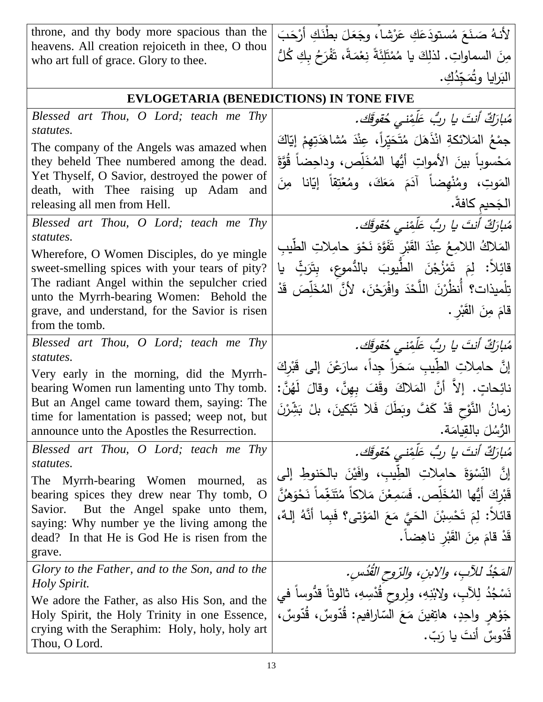| throne, and thy body more spacious than the<br>heavens. All creation rejoiceth in thee, O thou<br>who art full of grace. Glory to thee. | لأنهُ صَنَعَ مُستودَعَكِ عَرْشاً، وجَعَلَ بطْنَكِ أَرْحَبَ<br>مِنَ السماواتِ. لذلِكَ يا مُمْتَلِئَةً نِعْمَةً، تَفْرَحُ بِكِ كُلُّ |
|-----------------------------------------------------------------------------------------------------------------------------------------|------------------------------------------------------------------------------------------------------------------------------------|
|                                                                                                                                         | البَرايا وتُمَجّدُكِ.                                                                                                              |
| <b>EVLOGETARIA (BENEDICTIONS) IN TONE FIVE</b>                                                                                          |                                                                                                                                    |
| Blessed art Thou, O Lord; teach me Thy                                                                                                  | مُبارَكٌ أَنتَ يا ربُّ عَلَّفِنِي حُقوقَك.                                                                                         |
| statutes.                                                                                                                               | جِمْعُ الْمَلائِكَةِ انْذَهَلَ مُتَحَيِّراً، عِنْدَ مُشَاهَدَتِهِمْ إِيَّاكَ                                                       |
| The company of the Angels was amazed when<br>they beheld Thee numbered among the dead.                                                  | مَحْسوباً بينَ الأمواتِ أيُّها المُخَلِّص، وداحِضاً قُوَّةَ                                                                        |
| Yet Thyself, O Savior, destroyed the power of                                                                                           | المَوتِ، ومُنْهِضاً آدَمَ مَعَكَ، ومُعْتِقاً إِيّانا مِنَ                                                                          |
| death, with Thee raising up Adam and<br>releasing all men from Hell.                                                                    | الجَحيم كافةً.                                                                                                                     |
| Blessed art Thou, O Lord; teach me Thy                                                                                                  | مُبارَكٌ أَنتَ يا ربُ عَلَّفِني حُقوقَك.                                                                                           |
| statutes.                                                                                                                               | المَلاكُ اللامِعُ عِنْدَ القَبْرِ تَفَوَّهَ نَحْوَ حامِلاتِ الطِّيبِ                                                               |
| Wherefore, O Women Disciples, do ye mingle<br>sweet-smelling spices with your tears of pity?                                            | قائِلاً: لِمَ تَمْزُجْنَ الطَّيوبَ بالدُّموعِ، بِتَرَثِّ                                                                           |
| The radiant Angel within the sepulcher cried                                                                                            | تِلْميذات؟ أُنظُرْنَ اللَّحْدَ وافْرَحْنَ، لأنَّ المُخَلِّصَ قَدْ                                                                  |
| unto the Myrrh-bearing Women: Behold the<br>grave, and understand, for the Savior is risen                                              | قامَ مِنَ القَبْرِ .                                                                                                               |
| from the tomb.                                                                                                                          |                                                                                                                                    |
| Blessed art Thou, O Lord; teach me Thy                                                                                                  | مُبارَكٌ أنتَ يا ربُ عَلَمْني حُقوقَك.                                                                                             |
| statutes.                                                                                                                               | إِنَّ حامِلاتِ الطِّيبِ سَحَراً جِداً، سارَعْنَ إِلَى قَبْرِكَ                                                                     |
| Very early in the morning, did the Myrrh-<br>bearing Women run lamenting unto Thy tomb.                                                 | نائِحاتٍ. إلاَّ أَنَّ المَلاكَ وقَفَ بهنَّ، وقالَ لَهُنَّ:                                                                         |
|                                                                                                                                         |                                                                                                                                    |
| But an Angel came toward them, saying: The                                                                                              |                                                                                                                                    |
| time for lamentation is passed; weep not, but                                                                                           | زمانُ النَّوْحِ قَدْ كَفَّ وبَطَلَ فَلا تَبْكينَ، بلْ بَشِّرْنَ                                                                    |
| announce unto the Apostles the Resurrection.                                                                                            | الرُّسُلَ بِالقِيامَةِ.                                                                                                            |
| Blessed art Thou, O Lord; teach me Thy<br>statutes.                                                                                     | مُبارَكٌ أَنتَ يا ربُّ عَلَّفِني خُقوقَك.                                                                                          |
| <b>The</b><br>Myrrh-bearing Women<br>mourned,<br>as                                                                                     | إِنَّ النِّسْوَةَ حامِلاتِ الطِّيبِ، وافَيْنَ بالْحَنوطِ إلى                                                                       |
| bearing spices they drew near Thy tomb, O                                                                                               | قَبْرِكَ أَيُّها المُخَلِّص. فَسَمِعْنَ مَلاكاً مُتَنَغِّماً نَحْوَهُنَّ                                                           |
| But the Angel spake unto them,<br>Savior.<br>saying: Why number ye the living among the                                                 | قَائِلاً: لِمَ تَحْسِبْنَ الْحَيَّ مَعَ الْمَوْتِي؟ فَبِما أَنَّهُ إِلَـهٌ،                                                        |
| dead? In that He is God He is risen from the                                                                                            | قَدْ قَامَ مِنَ الْقَبْرِ نَاهِضاً.                                                                                                |
| grave.                                                                                                                                  |                                                                                                                                    |
| Glory to the Father, and to the Son, and to the<br><i>Holy Spirit.</i>                                                                  | المَجْذُ للآبِ، والابنِ، والرّوح القَدُسِ.                                                                                         |
| We adore the Father, as also His Son, and the                                                                                           | نَسْجُدُ لِلآبِ، ولِابْنِهِ، ولِروحِ قُدْسِهِ، ثالوثاً قدُّوساً في                                                                 |
| Holy Spirit, the Holy Trinity in one Essence,<br>crying with the Seraphim: Holy, holy, holy art                                         | جَوْهِرِ واحِدٍ، هاتِفينَ مَعَ السّارافيم: قُدّوسٌ، قُدّوسٌ،<br>قُدّوسٌ أنتَ يا رَبّ.                                              |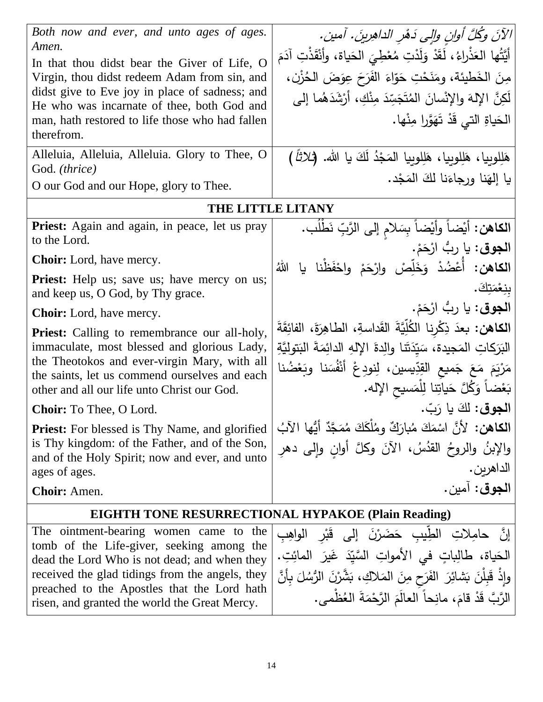| Both now and ever, and unto ages of ages.<br>Amen.<br>In that thou didst bear the Giver of Life, O<br>Virgin, thou didst redeem Adam from sin, and<br>didst give to Eve joy in place of sadness; and<br>He who was incarnate of thee, both God and<br>man, hath restored to life those who had fallen<br>therefrom.<br>Alleluia, Alleluia, Alleluia. Glory to Thee, O<br>God. (thrice)<br>O our God and our Hope, glory to Thee. | الآنَ وكُلَّ أُوانِ والِّي دَهْرِ الداهِرِينَ. آمين.<br>أَيَّتُها العَذْراءُ، لَقَدْ وَلَدْتِ مُعْطِيَ الحَياة، وأَنْقَذْتِ آدَمَ<br>مِنَ الْخَطْيئة، ومَنَحْتِ حَوّاءَ الفَرَحَ عِوَضَ الْحُزْنِ،<br>لَكِنَّ الإِلهَ والإِنْسانَ المُتَجَسِّدَ مِنْكِ، أَرْشَدَهُما إِلـى<br>  الْحَياةِ الَّتِي قَدْ تَهَوَّرا مِنْها.<br>هَلِلوبِيا، هَلِلوبِيا، هَلِلوبِيا المَجْدُ لَكَ يا الله. (ثلاثاً )<br>يا إلهَنا ورجاءَنا لكَ المَجْدِ. |
|----------------------------------------------------------------------------------------------------------------------------------------------------------------------------------------------------------------------------------------------------------------------------------------------------------------------------------------------------------------------------------------------------------------------------------|-------------------------------------------------------------------------------------------------------------------------------------------------------------------------------------------------------------------------------------------------------------------------------------------------------------------------------------------------------------------------------------------------------------------------------------|
| <b>THE LITTLE LITANY</b>                                                                                                                                                                                                                                                                                                                                                                                                         |                                                                                                                                                                                                                                                                                                                                                                                                                                     |
| <b>Priest:</b> Again and again, in peace, let us pray                                                                                                                                                                                                                                                                                                                                                                            | ا <b>لكاهن:</b> أيْضاً وأيْضاً بِسَلامٍ إلى الرَّبِّ نَطْلُب.                                                                                                                                                                                                                                                                                                                                                                       |
| to the Lord.                                                                                                                                                                                                                                                                                                                                                                                                                     | ا <b>لجوق:</b> يا ربُّ ارْحَمْ.                                                                                                                                                                                                                                                                                                                                                                                                     |
| <b>Choir:</b> Lord, have mercy.                                                                                                                                                                                                                                                                                                                                                                                                  | الكاهن: أُعْضُدْ وَخَلِّصْ وارْحَمْ واحْفَظْنا يا<br>اللَّهُ                                                                                                                                                                                                                                                                                                                                                                        |
| <b>Priest:</b> Help us; save us; have mercy on us;<br>and keep us, O God, by Thy grace.                                                                                                                                                                                                                                                                                                                                          | بنِعْمَتِكَ.                                                                                                                                                                                                                                                                                                                                                                                                                        |
| <b>Choir:</b> Lord, have mercy.                                                                                                                                                                                                                                                                                                                                                                                                  | ا <b>لجوق</b> : يا ربُّ ارْحَمْ.                                                                                                                                                                                                                                                                                                                                                                                                    |
| Priest: Calling to remembrance our all-holy,<br>immaculate, most blessed and glorious Lady,<br>the Theotokos and ever-virgin Mary, with all<br>the saints, let us commend ourselves and each<br>other and all our life unto Christ our God.                                                                                                                                                                                      | ا <b>لكاهن:</b> بعدَ ذِكْرِنا الكُلِّيَّةَ القَداسةِ، الطاهِرَةَ، الفائِقَةَ<br>البَرَكاتِ المَجيدة، سَيّدَتَنا والِدةَ الإِلهِ الدائِمَةَ البَتوليَّةِ<br>مَرْيَمَ مَعَ جَميع القِدِّيسين، لِنودِعْ أَنْفُسَنا وبَعْضُنا<br>بَعْضاً وَكُلَّ حَياتِنا لِلْمَسيحِ الإِله.                                                                                                                                                            |
| <b>Choir:</b> To Thee, O Lord.                                                                                                                                                                                                                                                                                                                                                                                                   | الجوق: لكَ يا رَبّ.                                                                                                                                                                                                                                                                                                                                                                                                                 |
| <b>Priest:</b> For blessed is Thy Name, and glorified<br>is Thy kingdom: of the Father, and of the Son,<br>and of the Holy Spirit; now and ever, and unto<br>ages of ages.                                                                                                                                                                                                                                                       | ِ ا <b>لْكَاهِنِ:</b> لِأَنَّ اسْمَكَ مُبارَكٌ وِمُلكَكَ مُمَجَّدٌ أَيُّها الآبُ<br>والإبنُ والروحُ القدُسُ، الآنَ وكلَّ أوانٍ وإِلى دهرِ<br>الداهرين.                                                                                                                                                                                                                                                                              |
| <b>Choir:</b> Amen.                                                                                                                                                                                                                                                                                                                                                                                                              | الجوق: آمين.                                                                                                                                                                                                                                                                                                                                                                                                                        |
| <b>EIGHTH TONE RESURRECTIONAL HYPAKOE (Plain Reading)</b>                                                                                                                                                                                                                                                                                                                                                                        |                                                                                                                                                                                                                                                                                                                                                                                                                                     |
| The ointment-bearing women came to the<br>tomb of the Life-giver, seeking among the<br>dead the Lord Who is not dead; and when they<br>received the glad tidings from the angels, they<br>preached to the Apostles that the Lord hath                                                                                                                                                                                            | إِنَّ   حامِلاتٍ   الطِّيبِ   حَضَرْنَ   إلى   قَبْر    الواهِبِ<br>الْحَياة، طَالِباتٍ في الأُمواتِ السَّيِّدَ غَيرَ المائِتِ.<br>وإِذْ قَبِلْنَ بَشَائِرَ الفَرَحِ مِنَ المَلاكِ، بَشَّرْنَ الرُّسُلَ بِأَنَّ                                                                                                                                                                                                                     |

received the glad tidings from the angels, they preached to the Apostles that the Lord hath risen, and granted the world the Great Mercy.

14

> ا<br>ا **ٔ**

مُ

الرَّبَّ قَدْ قامَ، مانِحاً العالَمَ الرَّحْمَةَ العُظْمى.

.<br>-<br>-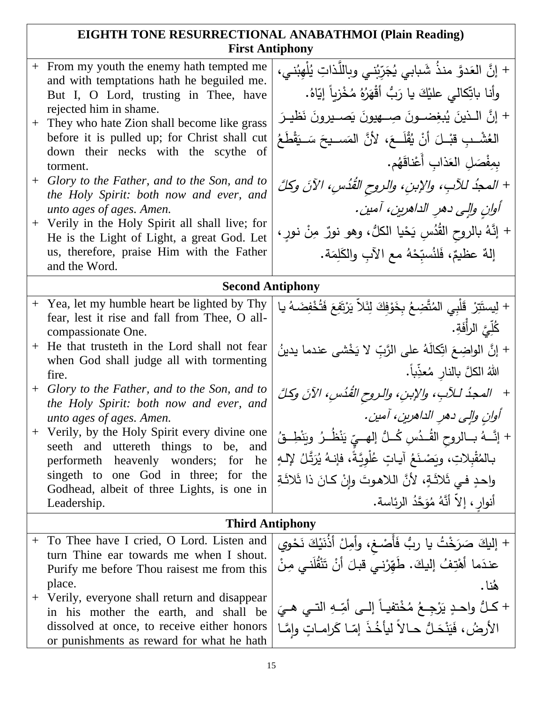## **EIGHTH TONE RESURRECTIONAL ANABATHMOI (Plain Reading) First Antiphony**

|        | + From my youth the enemy hath tempted me<br>and with temptations hath he beguiled me.       | + إنَّ العَدوَّ منذُ شَبابي يُجَرِّبُني وبِاللَّذاتِ يُلْهِبُني،                 |  |
|--------|----------------------------------------------------------------------------------------------|----------------------------------------------------------------------------------|--|
|        | But I, O Lord, trusting in Thee, have                                                        | وأنا باتِّكالى عليْكَ يا رَبُّ أَقْهَرُهُ مُخْزِياً إِيّاهُ.                     |  |
|        | rejected him in shame.                                                                       | + إِنَّ اللَّذِينَ يُبغِضونَ صِلْهِيونَ يَصْبِرُونَ نَظْيِـرَ                    |  |
|        | + They who hate Zion shall become like grass<br>before it is pulled up; for Christ shall cut | العُشْــبِ قَبْــلَ أَنْ يُقْلَــعَ، لأَنَّ المَســيحَ سَــيَقْطَـعُ             |  |
|        | down their necks with the scythe of                                                          |                                                                                  |  |
|        | torment.                                                                                     | بِمِفْصَلِ العَذابِ أَعْناقَهُم.                                                 |  |
|        | + Glory to the Father, and to the Son, and to<br>the Holy Spirit: both now and ever, and     | + المجدُ للآبِ، والإبنِ، والروح القُدُسِ، الآنَ وكلَّ                            |  |
|        | unto ages of ages. Amen.                                                                     | أوانِ وإلى دهرِ الداهرينِ، آمين.                                                 |  |
|        | + Verily in the Holy Spirit all shall live; for                                              | + إِنَّهُ بالروحِ القُدُسِ يَحْيا الكلُّ، وهو نورٌ مِنْ نورٍ ،                   |  |
|        | He is the Light of Light, a great God. Let<br>us, therefore, praise Him with the Father      |                                                                                  |  |
|        | and the Word.                                                                                | إِلهٌ عظيمٌ، فَلنُسبِّحْهُ مع الآبِ والكَلِمَة.                                  |  |
|        | <b>Second Antiphony</b>                                                                      |                                                                                  |  |
|        | + Yea, let my humble heart be lighted by Thy                                                 | + لِيستَتِرْ  قَلْبِي المُتَّضِعُ بِخَوْفِكَ لِثَلاَّ يَرْتَفِعَ فَتُخْفِضَهُ يا |  |
|        | fear, lest it rise and fall from Thee, O all-<br>compassionate One.                          | كُلِّيَّ الزِأَفَةِ.                                                             |  |
|        | + He that trusteth in the Lord shall not fear                                                | + إنَّ الواضِعَ اتِّكالَهُ على الرَّبِّ لا يَخْشى عندما يدينُ                    |  |
|        | when God shall judge all with tormenting                                                     |                                                                                  |  |
|        | fire.                                                                                        | اللهُ الكلَّ بالنارِ مُعذِّباً.                                                  |  |
|        | + Glory to the Father, and to the Son, and to<br>the Holy Spirit: both now and ever, and     | + المحدُ للآبِ، والإبنِ، والروح القُدُسِ، الآنَ وكُلَّ                           |  |
|        | unto ages of ages. Amen.                                                                     | أوانِ وإلى دهرِ الداهرينِ، آمين.                                                 |  |
|        | + Verily, by the Holy Spirit every divine one<br>seeth and uttereth things to be,<br>and     | + إنَّـــهُ بـــالروحِ القُــدُسِ كُـــلُّ إلهـــيِّ يَنْظُــرُ ۖ ويَنْطِــقُ    |  |
|        | performeth heavenly wonders; for he                                                          | بـالمُقْبِلاتِ، ويَصْنَعُ آيـاتٍ عُلْويَّةً، فإنـهُ يُرَتَّلُ لِإِلَـهٍ          |  |
|        | singeth to one God in three; for the                                                         | واحدٍ فـى ثَلاثَـةٍ، لأنَّ اللاهـوتَ وإنْ كـانَ ذا ثَلاثَـةِ                     |  |
|        | Godhead, albeit of three Lights, is one in<br>Leadership.                                    | أنوار ، إلاّ أنَّهُ مُوَحَّدُ الرئاسة.                                           |  |
|        | <b>Third Antiphony</b>                                                                       |                                                                                  |  |
| $^{+}$ | To Thee have I cried, O Lord. Listen and                                                     | + إليكَ صَرَخْتُ يا ربُّ فَأَصْـغ، وأَمِلْ أَذُنَيْكَ نَحْوِي                    |  |
|        | turn Thine ear towards me when I shout.                                                      | عندَما أَهْتِفُ إليكَ. طَهِّرْنـي قبلَ أَنْ تَنْقُلَنـي مِنْ                     |  |
|        | Purify me before Thou raisest me from this                                                   |                                                                                  |  |
|        | place.<br>+ Verily, everyone shall return and disappear                                      | هُنا .                                                                           |  |
|        | in his mother the earth, and shall be                                                        | + كَـلُّ واحـدٍ يَرْجِـعُ مُخْتفيــاً إلــى أُمِّــهِ النّــي هــيَ              |  |
|        | dissolved at once, to receive either honors                                                  | الأرضُ، فَيَنْحَلُّ حـالاً ليأخُذَ إمّـا كَرامـاتٍ وإِمَّـا                      |  |
|        | or punishments as reward for what he hath                                                    |                                                                                  |  |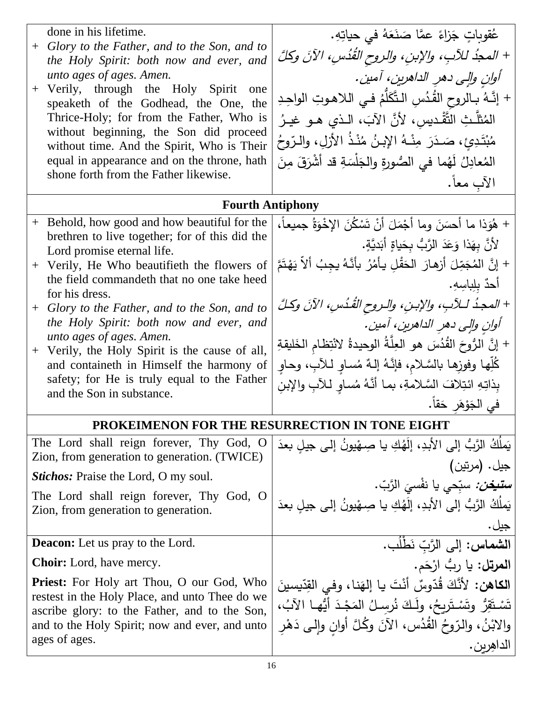| done in his lifetime.                                                                              | عُقوباتٍ جَزاءً عمَّا صَنَعَهُ في حياتِهِ.                                   |
|----------------------------------------------------------------------------------------------------|------------------------------------------------------------------------------|
| + Glory to the Father, and to the Son, and to<br>the Holy Spirit: both now and ever, and           | + المحذُ للآبِ، والإبنِ، والروحِ القُدُسِ، الآنَ وكلَّ                       |
| unto ages of ages. Amen.                                                                           | آوان والى دهر الداهرين، آمين.                                                |
| + Verily, through the Holy Spirit one<br>speaketh of the Godhead, the One, the                     | + إنَّـهُ بـالروح القُدُسِ الـتَّكَلَّمُ فـي الـلاهـوتِ الواحِـدِ            |
| Thrice-Holy; for from the Father, Who is                                                           | المُثلَّثِ التَّقْديسِ، لأَنَّ الآبَ، الـذي هــو غيــرُ                      |
| without beginning, the Son did proceed<br>without time. And the Spirit, Who is Their               | مُبْتَدِئٍ، صَدَرَ مِنْـهُ الإِبنُ مُنْذُ الأزلِ، والـرّوحُ                  |
| equal in appearance and on the throne, hath                                                        | المُعادِلُ لَهُما في الصُورةِ والجَلْسَةِ قد أشْرَقَ مِنَ                    |
| shone forth from the Father likewise.                                                              | الآب معاً.                                                                   |
| <b>Fourth Antiphony</b>                                                                            |                                                                              |
| + Behold, how good and how beautiful for the                                                       | + هُوَذا ما أحسَنَ وما أَجْمَلَ أَنْ تَسْكُنَ الإِخْوَةُ جِمِيعاً،           |
| brethren to live together; for of this did the<br>Lord promise eternal life.                       | لأَنَّ بِهَذا وَعَدَ الرَّبُّ بِحَياةٍ أَبَديَّةٍ.                           |
| + Verily, He Who beautifieth the flowers of                                                        | + إنَّ المُجَمِّلَ أَرْهارَ  الحَقْلِ يأْمُرُ  بأنَّهُ يجِبُ ألاَّ يَهْتَمَّ |
| the field commandeth that no one take heed<br>for his dress.                                       | أحدٌ بلِباسِهِ.                                                              |
| + Glory to the Father, and to the Son, and to                                                      | + المجدُ لـلآبِ، والإبـنِ، والـروح القُدُسِ، الآنَ وكـلَّ                    |
| the Holy Spirit: both now and ever, and                                                            | أوانِ والِي دهرِ الداهرينِ، آمينِ.                                           |
| unto ages of ages. Amen.<br>+ Verily, the Holy Spirit is the cause of all,                         | + إنَّ الرُّوحَ القُدُسَ هو العِلَّةُ الوحيدةُ لانْتِظام الخَليقةِ           |
| and containeth in Himself the harmony of                                                           | كُلِّها وفوزِها بالسَّلام، فإنَّهُ إلـهٌ مُساوِ لـلآبِ، وحـاوِ               |
| safety; for He is truly equal to the Father<br>and the Son in substance.                           | بِذاتِهِ ائتِلافَ السَّلامةِ، بما أنَّهُ مُساوِ للأبِ والإبنِ                |
|                                                                                                    | في الجَوْهَرِ حَقاً.                                                         |
| <b>PROKEIMENON FOR THE RESURRECTION IN TONE EIGHT</b>                                              |                                                                              |
| The Lord shall reign forever, Thy God, O<br>Zion, from generation to generation. (TWICE)           | يَملُكُ الرَّبُّ إلى الأبدِ، إلَهُكِ يا صِـهْيونُ إلى جيلٍ بعدَ              |
| <b>Stichos:</b> Praise the Lord, O my soul.                                                        | جيل. (مرتين)                                                                 |
| The Lord shall reign forever, Thy God, O                                                           | س <b>تيغ<i>ن:</i> سبّحي يا نفْسيَ الرَّبّ.</b>                               |
| Zion, from generation to generation.                                                               | يَملَكُ الرَّبُّ إِلَى الأَبِدِ، إِلَهُكِ يا صِهْيونُ إِلـى جِيلِ بعدَ       |
|                                                                                                    | جيل .                                                                        |
| <b>Deacon:</b> Let us pray to the Lord.                                                            | ا <b>لشماس:</b> إلى الرَّبّ نَطْلُب.                                         |
| <b>Choir:</b> Lord, have mercy.                                                                    | ا <b>لمرتل:</b> يا ربُّ ارْحَم.                                              |
| <b>Priest:</b> For Holy art Thou, O our God, Who<br>restest in the Holy Place, and unto Thee do we | ا <b>لكاهن:</b> لأَنَّكَ قُدّوسٌ أنْتَ يا إلهَنا، وفي القِدّيسينَ            |
| ascribe glory: to the Father, and to the Son,                                                      | تَسْتَقِرُ وتَسْتَرِيحُ، ولَكَ نُرسِلُ المَجْدَ أَيُّها الآبُ،               |
| and to the Holy Spirit; now and ever, and unto<br>ages of ages.                                    | والابْنُ، والرّوحُ القُدُس، الآنَ وكُلَّ أوانٍ وإلى دَهْرِ                   |
|                                                                                                    | الداهِرين .                                                                  |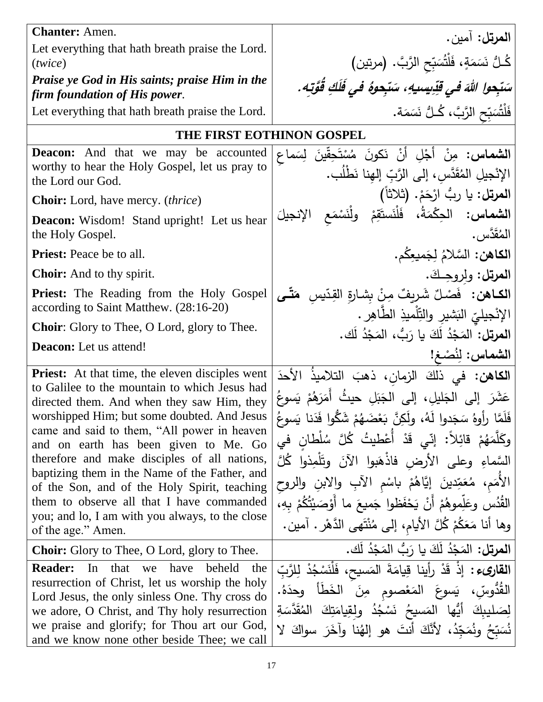| <b>Chanter:</b> Amen.                                                                                    | <b>المرتل:</b> آمين.                                                               |
|----------------------------------------------------------------------------------------------------------|------------------------------------------------------------------------------------|
| Let everything that hath breath praise the Lord.                                                         |                                                                                    |
| (twice)<br>Praise ye God in His saints; praise Him in the                                                | كُـلُّ نَسَمَةٍ، فَلْتُسَبِّحِ الرَّبَّ. (مرتين)                                   |
| firm foundation of His power.                                                                            | سَتَحوا اللهَ في قِدِيسيهِ، سَتَحِوهُ في فَلَكِ قُوَّتِهِ.                         |
| Let everything that hath breath praise the Lord.                                                         | فَلْتُسَبِّحِ الرَّبَّ، كُـلُّ نَسَمَة.                                            |
| THE FIRST EOTHINON GOSPEL                                                                                |                                                                                    |
| <b>Deacon:</b> And that we may be accounted                                                              | <b>الشماس:</b> مِنْ أَجْلِ أَنْ نَكونَ مُسْتَحِقِّينَ لِسَماعِ                     |
| worthy to hear the Holy Gospel, let us pray to<br>the Lord our God.                                      | الإِنْجِيلِ المُقَدَّسِ، إِلَى الرَّبِّ إِلهِنا نَطْلُبٍ.                          |
| <b>Choir:</b> Lord, have mercy. <i>(thrice)</i>                                                          | المرتل: يا ربُّ ارْحَمْ. (ثلاثاً)                                                  |
| <b>Deacon:</b> Wisdom! Stand upright! Let us hear                                                        | ا <b>لشماس:</b> الحِكْمَةُ، فَلْنَستَقِمْ ولْنَسْمَع الإنجيلَ                      |
| the Holy Gospel.                                                                                         | المُقَدَّس .                                                                       |
| <b>Priest:</b> Peace be to all.                                                                          | الكاهن: السَّلامُ لِجَميعِكُم.                                                     |
| <b>Choir:</b> And to thy spirit.                                                                         | المرتل: ولروحِكَ.                                                                  |
| <b>Priest:</b> The Reading from the Holy Gospel<br>according to Saint Matthew. (28:16-20)                | ا <b>لكـاهن:</b> فَصْلٌ شَرِيفٌ مِنْ بِشارةِ القِدّيسِ ۖ مَ <b>تّـَى</b>           |
| <b>Choir:</b> Glory to Thee, O Lord, glory to Thee.                                                      | الإِنْجِيلِيِّ الْبَشْيْرِ وْالتِّلْمِيْذِ الطَّاهِرِ .                            |
| <b>Deacon:</b> Let us attend!                                                                            | ا <b>لمرتل:</b> المَجْدُ لَكَ يا رَبُّ، المَجْدُ لَك.                              |
|                                                                                                          | الشماس: لِنُصْغ!                                                                   |
| <b>Priest:</b> At that time, the eleven disciples went<br>to Galilee to the mountain to which Jesus had  | ا <b>لكاهن:</b> في ذلكَ الزمان، ذهبَ التلاميذُ الأحدَ                              |
| directed them. And when they saw Him, they                                                               | عَشَرَ إِلَى الْجَليلِ، إِلَى الْجَبَلِ حيثُ أَمَرَهُمْ يَسوعُ                     |
| worshipped Him; but some doubted. And Jesus                                                              | ِ فَلَمَّا رِأُوهُ سَجَدوا لَهُ، ولَكِنَّ بَعْضَهُمْ شَكُّوا فَدَنا يَسوعُ         |
| came and said to them, "All power in heaven<br>and on earth has been given to Me. Go                     | وكَلَّمَهُمْ قَائِلاً: إنِّي قَدْ أَعْطِيتُ كُلَّ سُلْطانٍ في                      |
| therefore and make disciples of all nations,                                                             | السَّماءِ وعلى الأرض فاذْهَبوا الآنَ وتَلْمِذوا كُلَّ                              |
| baptizing them in the Name of the Father, and<br>of the Son, and of the Holy Spirit, teaching            | الأُمَم، مُعَمِّدينَ إيَّاهُمْ باسْمِ الْأَبِ والابنِ والروحِ                      |
| them to observe all that I have commanded                                                                | القُدُس وعَلِّموهُمْ أَنْ يَحْفَظوا جَميعَ ما أَوْصَيْتُكُمْ بِهِ،                 |
| you; and lo, I am with you always, to the close                                                          | وها أنا مَعَكُمْ كُلَّ الأيام، إلى مُنْتَهي الدَّهْر . آمين.                       |
| of the age." Amen.                                                                                       |                                                                                    |
| <b>Choir:</b> Glory to Thee, O Lord, glory to Thee.                                                      | <b>المرتل:</b> المَجْدُ لَكَ يا رَبُّ المَجْدُ لَك.                                |
| In that we<br><b>Reader:</b><br>have<br>beheld<br>the<br>resurrection of Christ, let us worship the holy | ا <b>لقارىء :</b> إذْ قَدْ رأينا قِيامَةَ المَسيح، فَلْنَسْجُدْ لِلرَّبِّ          |
| Lord Jesus, the only sinless One. Thy cross do                                                           | الْقُدُّوسِّ، يَسوعَ الْمَعْصومِ مِنَ الْخَطَأُ وحدَهُ.                            |
| we adore, O Christ, and Thy holy resurrection                                                            | لِصَلْيِبِكَ ۚ أَيُّهَا ۗ الْمَسِيحُ ۖ نَسْجُدُ ۗ ولْقِيامَتِكَ ۗ الْمُقَدَّسَةِ ۖ |
| we praise and glorify; for Thou art our God,<br>and we know none other beside Thee; we call              | نُسَبِّحُ ونُمَجِّدُ، لأَنَّكَ أنتَ هو إلهُنا وآخَرَ سواكَ لا                      |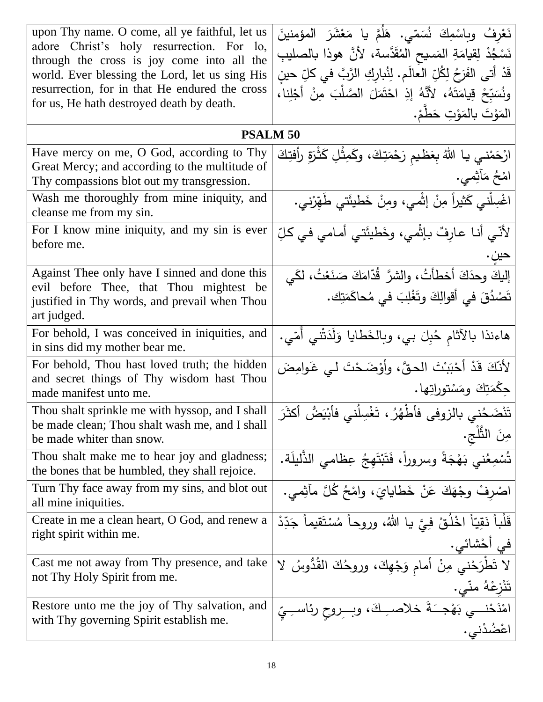| upon Thy name. O come, all ye faithful, let us<br>adore Christ's holy resurrection. For lo,<br>through the cross is joy come into all the<br>world. Ever blessing the Lord, let us sing His<br>resurrection, for in that He endured the cross | نَعْرِفُ وبِاسْمِكَ نُسَمّى. هَلُمَّ يا مَعْشَرَ المؤمنينَ<br>نَسْجُدْ لِقِيامَةِ المَسيحِ المُقَدَّسة، لأَنَّ هوذا بالصليبِ<br>قَدْ أَتِي الفَرَحُ لِكُلِّ الْعَالَمِ. لِنُبارِكِ الرَّبَّ في كلِّ حين<br>ونُسَبِّحْ قِيامَتَهُ، لأَنَّهُ إِذِ احْتَمَلَ الصَّلْبَ مِنْ أَجْلِنا، |
|-----------------------------------------------------------------------------------------------------------------------------------------------------------------------------------------------------------------------------------------------|------------------------------------------------------------------------------------------------------------------------------------------------------------------------------------------------------------------------------------------------------------------------------------|
| for us, He hath destroyed death by death.                                                                                                                                                                                                     | المَوْتَ بالمَوْتِ حَطَّمْ.                                                                                                                                                                                                                                                        |
| <b>PSALM 50</b>                                                                                                                                                                                                                               |                                                                                                                                                                                                                                                                                    |
| Have mercy on me, O God, according to Thy<br>Great Mercy; and according to the multitude of<br>Thy compassions blot out my transgression.                                                                                                     | ارْحَمْنـي يـا اللهُ بِعَظـيمِ رَحْمَتِكَ، وكَمِثْلِ كَثْرَةِ رأفتِكَ<br>امْحُ مَأْثِمي.                                                                                                                                                                                           |
| Wash me thoroughly from mine iniquity, and<br>cleanse me from my sin.                                                                                                                                                                         | اغْسِلْني كَثيراً مِنْ إثْمي، ومِنْ خَطيئَتي طَهَرْني.                                                                                                                                                                                                                             |
| For I know mine iniquity, and my sin is ever<br>before me.                                                                                                                                                                                    | لأَنِّي أنـا عـارِفٌ بـإنَّمي، وخَطيئَتي أمـامي في كـلِّ                                                                                                                                                                                                                           |
| Against Thee only have I sinned and done this                                                                                                                                                                                                 |                                                                                                                                                                                                                                                                                    |
| evil before Thee, that Thou mightest be<br>justified in Thy words, and prevail when Thou<br>art judged.                                                                                                                                       | إليكَ وحدَكَ أخطأَتُ، والشرَّ قُدَّامَكَ صَنَعْتُ، لكَي<br>تَصْدُقَ في أقوالِكَ وتَغْلِبَ في مُحاكَمَتِك.                                                                                                                                                                          |
| For behold, I was conceived in iniquities, and<br>in sins did my mother bear me.                                                                                                                                                              | هاءنذا بالأثامِ حُبِلَ بي، وبِالْخَطَايا وَلَدَتْني أَمّي.                                                                                                                                                                                                                         |
| For behold, Thou hast loved truth; the hidden<br>and secret things of Thy wisdom hast Thou<br>made manifest unto me.                                                                                                                          | لأَنَّكَ قَدْ أَحْبَبْتَ الْحقَّ، وأَوْضَحْتَ لَي غَوامِضَ<br>جِكْمَتِكَ ومَسْتوراتِها.                                                                                                                                                                                            |
| Thou shalt sprinkle me with hyssop, and I shall<br>be made clean; Thou shalt wash me, and I shall<br>be made whiter than snow.                                                                                                                | تَنْضَحُني بالزوفى فأطْهُرُ ، تَغْسِلُني فأَبْيَضُ أكثَرَ<br>مِنَ الثَّلْجِ.                                                                                                                                                                                                       |
| Thou shalt make me to hear joy and gladness;<br>the bones that be humbled, they shall rejoice.                                                                                                                                                | تُسْمِعُني بَهْجَةً وسروراً، فَتَبْتَهِجُ عِظامي الذَّليلَة.                                                                                                                                                                                                                       |
| Turn Thy face away from my sins, and blot out<br>all mine iniquities.                                                                                                                                                                         | اصْرِفْ وِجْهَكَ عَنْ خَطَايَايَ، وَامْحُ كُلَّ مآشِي.                                                                                                                                                                                                                             |
| Create in me a clean heart, O God, and renew a<br>right spirit within me.                                                                                                                                                                     | قَلْباً نَقِيّاً اخْلُقْ فِيَّ يا اللهُ، وروحاً مُسْتَقيماً جَدِّدْ<br> في أَحْشائي.                                                                                                                                                                                               |
| Cast me not away from Thy presence, and take<br>not Thy Holy Spirit from me.                                                                                                                                                                  | لا تَطْرَحْني مِنْ أمام وَجْهِكَ، وروحُكَ القُدُّوسُ لا<br>تَنْزِعْهُ منّي.                                                                                                                                                                                                        |
| Restore unto me the joy of Thy salvation, and<br>with Thy governing Spirit establish me.                                                                                                                                                      | امْنَحْنـــي بَهْجــَـةَ خلاصــِـكَ، وبـــروحِ رئاســِـيِّ<br>اعْضُدْني.                                                                                                                                                                                                           |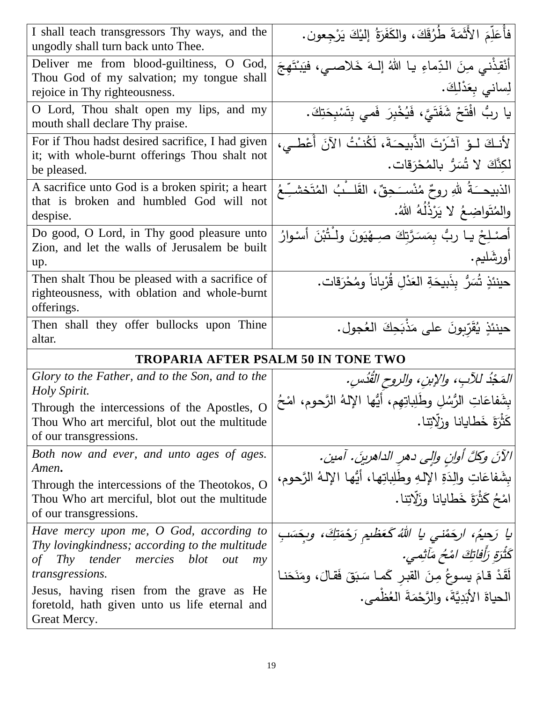| I shall teach transgressors Thy ways, and the<br>ungodly shall turn back unto Thee.                                                                                         | فأُعَلِّمَ الأَثَمَةَ طُرُقَكَ، والكَفَرَةُ إليْكَ يَرْجِعون.                                                                                                      |
|-----------------------------------------------------------------------------------------------------------------------------------------------------------------------------|--------------------------------------------------------------------------------------------------------------------------------------------------------------------|
| Deliver me from blood-guiltiness, O<br>God,<br>Thou God of my salvation; my tongue shall<br>rejoice in Thy righteousness.                                                   | أَنْقِذْنِي مِنَ الدِّماءِ يا اللهُ إِلـهَ خَلاصـي، فيَبنْتَهِجَ<br>لِساني بِعَدْلِكَ.                                                                             |
| O Lord, Thou shalt open my lips, and my<br>mouth shall declare Thy praise.                                                                                                  | يا رِبُ افْتَحْ شَفَتَيَّ، فَيُخْبِرَ فَمي بِتَسْبِحَتِكَ.                                                                                                         |
| For if Thou hadst desired sacrifice, I had given<br>it; with whole-burnt offerings Thou shalt not<br>be pleased.                                                            | لأنكَ لـوْ آتْرُتَ الذَّبيحَةَ، لَكُنْتُ الآنَ أُعْطـى،<br> لكِنَّكَ لا تُسَرُّ بالمُحْرَقات.                                                                      |
| A sacrifice unto God is a broken spirit; a heart<br>that is broken and humbled God will not<br>despise.                                                                     | الذبيحــَـةُ للهِ روحٌ مُنْســَـحِقٌ، القَلــْبُ المُتَخشــِّـعُ<br> والمُتَواضِعُ لا يَزْذُلُهُ اللهُ.                                                            |
| Do good, O Lord, in Thy good pleasure unto<br>Zion, and let the walls of Jerusalem be built<br>up.                                                                          | أَصْلِحْ يا ربُّ بِمَسَرَّتِكَ صِبِهْيَونَ ولْـتُبْنَ أَسْوارُ<br>أورشَليم.                                                                                        |
| Then shalt Thou be pleased with a sacrifice of<br>righteousness, with oblation and whole-burnt<br>offerings.                                                                | حينئذٍ تُسَرُّ بِذَبيحَةِ العَدْلِ قُرْبِاناً ومُحْرَقات.                                                                                                          |
| Then shall they offer bullocks upon Thine<br>altar.                                                                                                                         | حينئذٍ يُقَرِّبونَ على مَذْبَحِكَ العُجولِ.                                                                                                                        |
| <b>TROPARIA AFTER PSALM 50 IN TONE TWO</b>                                                                                                                                  |                                                                                                                                                                    |
| Glory to the Father, and to the Son, and to the<br>Holy Spirit.                                                                                                             | المَحْدُ للآبِ، والإبنِ، والروح القُدُسِ.                                                                                                                          |
| Through the intercessions of the Apostles, O<br>Thou Who art merciful, blot out the multitude<br>of our transgressions.                                                     | بِشَفاعَاتِ الرُّسُلِ وطَلِباتِهِم، أَيُّها الإِلهُ الرَّحوم، امْحُ<br> كَثْرَةَ خَطَايانا وزلّاتِنا.                                                              |
| Both now and ever, and unto ages of ages.<br>Amen.                                                                                                                          | الآنَ وكِكَّ أُوانٍ وإلى دهرِ الداهرينَ. آمين.                                                                                                                     |
| Through the intercessions of the Theotokos, O<br>Thou Who art merciful, blot out the multitude                                                                              | بِشَفاعَاتِ والِدَةِ الإِلَـهِ وطَلِباتِها، أَيُّها الإِلَـهُ الرَّحومِ،                                                                                           |
| of our transgressions.                                                                                                                                                      | امْحُ كَثْرَةَ خَطَايانا وزَلّاتِنا.                                                                                                                               |
| Have mercy upon me, O God, according to<br>Thy loving kindness; according to the multitude<br>tender<br>Thy<br>mercies<br>blot<br>out<br>οf<br>my<br><i>transgressions.</i> | ايا رَحيمُ، ارجَمْني يا اللهُ كَعَظيم رَجْمَتِكَ، وبِجَسَبِ<br> كَثْرَةِ رَأْفاتِكَ امْحُ مَآتِمي.<br>لَقَدْ قامَ يسوعُ مِنَ القبْرِ كَما سَبَقَ فَقالَ، ومَنَحَنا |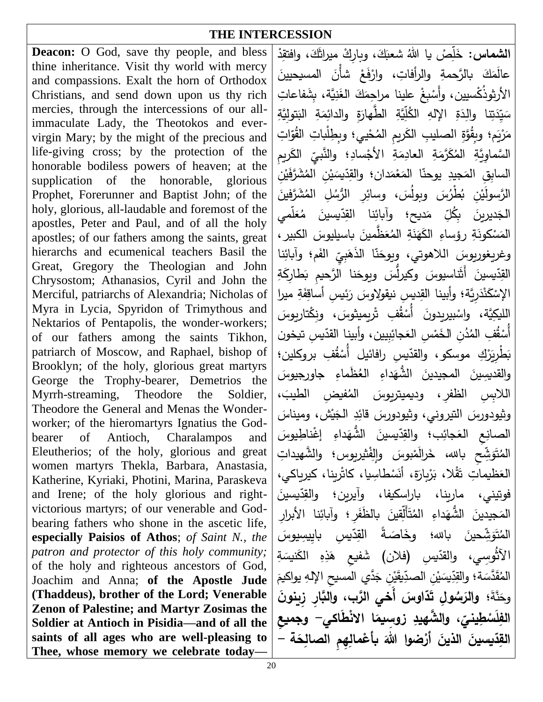## **THE INTERCESSION**

**Deacon:** O God, save thy people, and bless thine inheritance. Visit thy world with mercy and compassions. Exalt the horn of Orthodox Christians, and send down upon us thy rich mercies, through the intercessions of our allimmaculate Lady, the Theotokos and evervirgin Mary; by the might of the precious and life-giving cross; by the protection of the honorable bodiless powers of heaven; at the supplication of the honorable, glorious Prophet, Forerunner and Baptist John; of the holy, glorious, all-laudable and foremost of the apostles, Peter and Paul, and of all the holy apostles; of our fathers among the saints, great hierarchs and ecumenical teachers Basil the Great, Gregory the Theologian and John Chrysostom; Athanasios, Cyril and John the Merciful, patriarchs of Alexandria; Nicholas of Myra in Lycia, Spyridon of Trimythous and Nektarios of Pentapolis, the wonder-workers; of our fathers among the saints Tikhon, patriarch of Moscow, and Raphael, bishop of Brooklyn; of the holy, glorious great martyrs George the Trophy-bearer, Demetrios the Myrrh-streaming, Theodore the Soldier, Theodore the General and Menas the Wonderworker; of the hieromartyrs Ignatius the Godbearer of Antioch, Charalampos and Eleutherios; of the holy, glorious and great women martyrs Thekla, Barbara, Anastasia, Katherine, Kyriaki, Photini, Marina, Paraskeva and Irene; of the holy glorious and rightvictorious martyrs; of our venerable and Godbearing fathers who shone in the ascetic life, **especially Paisios of Athos**; *of Saint N., the patron and protector of this holy community;* of the holy and righteous ancestors of God, Joachim and Anna; **of the Apostle Jude (Thaddeus), brother of the Lord; Venerable Zenon of Palestine; and Martyr Zosimas the Soldier at Antioch in Pisidia—and of all the saints of all ages who are well-pleasing to Thee, whose memory we celebrate today—**

ال**شماس:** خَلِّصْ يا اللهُ شعبَكَ، وبارِكْ ميراثَكَ، وافتقِدْ س َ .<br>ا عالَمَكَ بالرَّحمةِ والرأفاتِ، وارْفَعْ شَأْنَ المسيحيينَ .<br>ا .<br>-الأرثوذُكْسيين، وأَسْبِغْ علينا مراحِمَكَ الغَنِيَّة، بِشَفاعاتِ<br>. ْ ً<br>ا سَيِّدَتِنا والِدَةِ الإلهِ الكُلِّيَّةِ الطَّهارَةِ والدائِمَةِ البَتولِيَّةِ .<br>ا .<br>ا َ َ َبَا<br>ا ً<br>ً مَرْيَم؛ وبِقُوَّةِ الصليبِ الكَريمِ المُحْييِ؛ وبِطِلْباتِ القُوّاتِ ۔<br>ا .<br>أ السَّماوِيَّةِ المُكَرَّمَةِ العادِمَةِ الأَجْسادِ؛ والنَّبِيِّ الكَـــ<br>المصدر : ً<br>ً َ **:** ب*يِّ* الكَريمِ السابِقِ ا<mark>لمَجي</mark>دِ ً<br>ً جيدِ يوحنّا المَعْمَدان؛ والقِدّيسَيْنِ المُشَرَّفَيْنِ<br>. ً<br>ً ْ َ َ **ٔ ٔ** الرَّسولَيْنِ بُطْرُسَ وبولُسَ، وسائِرِ الرُّسُلِ المُشَرَّفينَ<br>-ْ  $\frac{1}{\sqrt{2}}$ الْجَديرينَ بِكُلِّ مَديح؛ وآبائِنا القِدّيسينَ مُعَلَّمي َ ِّبُّ **:** .<br>ا َ ً<br>ً الْمَسْكُونَةِ رؤساءِ الْكَهَنَةِ الْمُعَظَّمينَ بِاسيليوسَ الكبيرِ ،<br>-ْ  $\epsilon$ <u>َ</u> َ وغريغوريوسَ اللاهوتي، ويوحَنَّا الذَّهَبِيِّ الفَّا<br>ست َ ا<br>أ .<br>م يّ الفَم؛ وآبائِنا القِدِّيسينَ أَثَناسيوسَ وكيرلُّسَ ويوحَنا الرَّحيمِ بَطارِكَةِ<br>.  $\frac{1}{\sqrt{2}}$ َ َ ْ الإِسْكَنْدَرِيَّة؛ وأبينا القِديسِ نيقولِاوسَ رَئِيسِ أَساقِفَةِ ميرا َ .<br>ا َ الليكِيَّة، واسْبيريدونَ أَسْقُفِ تْريميثوسَ، ونِكْتاريوسَ<br>وُ ْ  $\frac{1}{\sqrt{2}}$ ْ :<br>+ أُسْقُفِ المُدُنِ الخَمْسِ العَجائِبِيين، وأبينا القدّيسِ تيخون ا<br>ا ْ بَطْرِيَرْكِ موسكو، والقدّيسِ رافائيل أَسْقُفِ بروكلين؛ .<br>م .<br>ا َ ْ والقديسِينَ المجيدينَ الشُّهَداءِ ال<mark>عُظَ</mark>ماءِ جاور<u>جي</u>وسَ .<br>- $\epsilon$ ُُالبو وهُ ُُُظفورَُ ُ إ َ ُُم َديمَمريُ ف و ُُطَ َُ **:** وثيودورسَ النيروني، وثيودورسَ قائِدِ الجَيْش، وميناسَ **ٔ :** الصانعِ العَجائِب؛ والقِدّيسينَ الشُّهَداءِ إغْناطِيوسَ َ <u>َ</u> المُتَوَشِّحِ بالله، خَرالَمْبوسَ والِفْثيربوس؛ والشَّهيداتِ ا<br>ا َ َ الْعَظْيماتِ تَقْلا، بَرْبِارَة، أَنَسْطَاسِيا، كاثْرينا، كيرياكي، .<br>أ فوتيني، مارينا، باراسكيفا، وآيرين؛ والقِدّيسينَ المَجيدينَ الشُّهَداءِ المُتَأَلِّقِينَ بِالظَّفَرِ؛ وآبائِنا الأبرارِ المُتَوَشِّحينَ بالله؛ وخَاصَةً القِدِّيسِ بايِيسِيوسَ<br>مدُّ َ <u>َ</u> الآثُوسِي، والقدّيسِ (فلان) شَفيعِ هَذِهِ الكَنيسَةِ المُقَدَّسَة؛ والقِدِّ دِّيسَيْنِ الصدِّ **ٔ** الصدِّيقَيْنِ جَدَّي المسيحِ الإِلهِ يواكيمَ<br>-**ٔ** وحَنَّةَ؛ والرَسُولِ تَدَّاوسَ أخي الرَّبِ، والبَّارِ زِينونَ **أ وانكي ن االن زيْسير إ يال شه دْ و**  الفِلَسْطِينيِّ، والشَّهيدِ زوسِيمَا الانْطَاكي– وجميعِ **أ** القِدّيسينَ الذينَ أرْضوا اللهَ بأعْمالِهِمِ الصالِحَة – **و**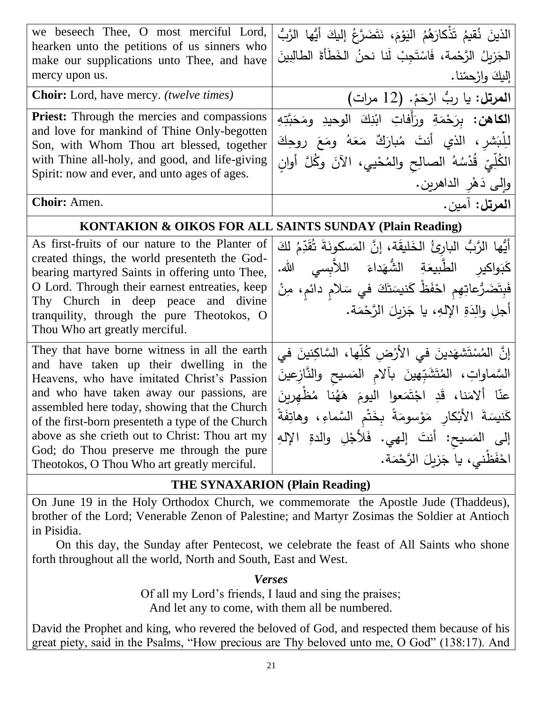| we beseech Thee, O most merciful Lord,<br>hearken unto the petitions of us sinners who<br>make our supplications unto Thee, and have<br>mercy upon us.                                                                                                                                                                                                                                                                                   | الذينَ نُقيمُ تَذْكارَهُمُ الْيَوْمَ، نَتَضَرَّعُ إِلَيكَ أَيُّها الرَّبُّ<br>الْجَزِيلُ الرَّحْمة، فَاسْتَجِبْ لَنا نحنُ الخَطَأَةَ الطالِبِينَ<br>إليكَ وارْحِمْنا.                                                                                                                                                                     |
|------------------------------------------------------------------------------------------------------------------------------------------------------------------------------------------------------------------------------------------------------------------------------------------------------------------------------------------------------------------------------------------------------------------------------------------|-------------------------------------------------------------------------------------------------------------------------------------------------------------------------------------------------------------------------------------------------------------------------------------------------------------------------------------------|
| Choir: Lord, have mercy. (twelve times)                                                                                                                                                                                                                                                                                                                                                                                                  | المرتل: يا ربُّ ارْحَمْ. (12 مرات)                                                                                                                                                                                                                                                                                                        |
| <b>Priest:</b> Through the mercies and compassions<br>and love for mankind of Thine Only-begotten<br>Son, with Whom Thou art blessed, together<br>with Thine all-holy, and good, and life-giving<br>Spirit: now and ever, and unto ages of ages.                                                                                                                                                                                         | ا <b>لكاهن:</b> برَحْمَةِ ورَأَفاتِ ابْنِكَ الوحيدِ ومَحَبَّتِهِ<br>للِّبَشر ، الذي أنتَ مُبارَكٌ مَعَهُ ومَعَ روحِكَ<br>الكُلِّيِّ قُدْسُهُ الصالِح والمُحْيي، الآنَ وكُلَّ أوانِ<br>وإِلى دَهْرِ الداهرين.                                                                                                                              |
| Choir: Amen.                                                                                                                                                                                                                                                                                                                                                                                                                             | المرتل: آمين.                                                                                                                                                                                                                                                                                                                             |
| KONTAKION & OIKOS FOR ALL SAINTS SUNDAY (Plain Reading)                                                                                                                                                                                                                                                                                                                                                                                  |                                                                                                                                                                                                                                                                                                                                           |
| As first-fruits of our nature to the Planter of<br>created things, the world presenteth the God-<br>bearing martyred Saints in offering unto Thee,<br>O Lord. Through their earnest entreaties, keep<br>Thy Church in deep peace and divine<br>tranquility, through the pure Theotokos, O<br>Thou Who art greatly merciful.                                                                                                              | أَيُّها الرَّبُّ البارئُ الخَليقَة، إنَّ المَسكونَةَ تُقَدِّمُ لَكَ<br>كَبَواكير الطَّبيعَةِ الشُّهَداءَ اللاَّبسى الله.<br>فَبِتَضَرُّعاتِهِم احْفَظْ كَنيسَتَكَ في سَلام دائم، مِنْ<br>أجلِ والِدَةِ الإِلهِ، يا جَزِيلَ الرَّحْمَة.                                                                                                    |
| They that have borne witness in all the earth<br>and have taken up their dwelling in the<br>Heavens, who have imitated Christ's Passion<br>and who have taken away our passions, are<br>assembled here today, showing that the Church<br>of the first-born presenteth a type of the Church<br>above as she crieth out to Christ: Thou art my<br>God; do Thou preserve me through the pure<br>Theotokos, O Thou Who art greatly merciful. | إِنَّ المُسْتَشهَدينَ في الأَرْضِ كُلِّها، السَّاكِنينَ في<br>السَّماواتِ، المُتَشَبِّهينَ بآلام المَسيح والنَّازِعينَ<br>عنّا ألامَنا، قَدِ اجْتَمَعوا اليومَ هَهُنا مُظْهرينَ<br>كَنسِنَةَ الأَبْكارِ مَوْسومَةً بِخَتْمِ السَّماءِ، وهاتِفَةً<br>إلى المَسيح: أنتَ إلهي. فَلأَجْلِ والدةِ الإِلهِ<br>احْفَظْني، يا جَزِيلَ الرَّحْمَة. |

## **THE SYNAXARION (Plain Reading)**

On June 19 in the Holy Orthodox Church, we commemorate the Apostle Jude (Thaddeus), brother of the Lord; Venerable Zenon of Palestine; and Martyr Zosimas the Soldier at Antioch in Pisidia.

On this day, the Sunday after Pentecost, we celebrate the feast of All Saints who shone forth throughout all the world, North and South, East and West.

*Verses*

Of all my Lord's friends, I laud and sing the praises; And let any to come, with them all be numbered.

David the Prophet and king, who revered the beloved of God, and respected them because of his great piety, said in the Psalms, "How precious are Thy beloved unto me, O God" (138:17). And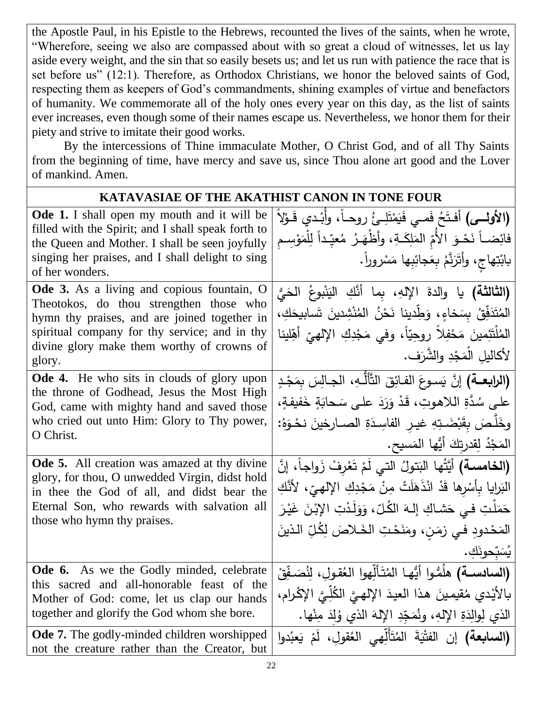the Apostle Paul, in his Epistle to the Hebrews, recounted the lives of the saints, when he wrote, "Wherefore, seeing we also are compassed about with so great a cloud of witnesses, let us lay aside every weight, and the sin that so easily besets us; and let us run with patience the race that is set before us" (12:1). Therefore, as Orthodox Christians, we honor the beloved saints of God, respecting them as keepers of God's commandments, shining examples of virtue and benefactors of humanity. We commemorate all of the holy ones every year on this day, as the list of saints ever increases, even though some of their names escape us. Nevertheless, we honor them for their piety and strive to imitate their good works.

By the intercessions of Thine immaculate Mother, O Christ God, and of all Thy Saints from the beginning of time, have mercy and save us, since Thou alone art good and the Lover of mankind. Amen.

## **KATAVASIAE OF THE AKATHIST CANON IN TONE FOUR**

| <b>Ode 1.</b> I shall open my mouth and it will be<br>filled with the Spirit; and I shall speak forth to<br>the Queen and Mother. I shall be seen joyfully<br>singing her praises, and I shall delight to sing<br>of her wonders.<br>Ode 3. As a living and copious fountain, O<br>Theotokos, do thou strengthen those who<br>hymn thy praises, and are joined together in<br>spiritual company for thy service; and in thy<br>divine glory make them worthy of crowns of<br>glory. | (الأولسي) أَفتَحُ فَمـي فَيَمْتَلِـئُ روحـاً، وأَبْـدي قَـوْلاَ<br>فائِضــاً نَحْـوَ الأُمّ المَلِكَـةِ، وأظْهَـرُ مُعيِّداً لِلْمَوْسِـم<br>بابْتِهاج، وأَتَرَنَّهُ بِعَجائِبِها مَسْروراً.<br>(ا <b>لثالثة)</b> يا والدةَ الإلهِ، بما أَنَّكِ اليَنْبوعُ الحَيُّ<br>المُتَدَفِّقُ بِسَخاءٍ، وَطِّدِينا نَحْنُ المُنْشِدِينَ تَسابِيحَكِ،<br>المُلْتَئِمينَ مَحْفِلاً روحِيّاً، وفي مَجْدِكِ الإِلهيِّ أَهِّلينا<br>لأكاليلِ الْمَجْدِ والشَّرَف. |
|-------------------------------------------------------------------------------------------------------------------------------------------------------------------------------------------------------------------------------------------------------------------------------------------------------------------------------------------------------------------------------------------------------------------------------------------------------------------------------------|----------------------------------------------------------------------------------------------------------------------------------------------------------------------------------------------------------------------------------------------------------------------------------------------------------------------------------------------------------------------------------------------------------------------------------------------------|
| <b>Ode 4.</b> He who sits in clouds of glory upon<br>the throne of Godhead, Jesus the Most High                                                                                                                                                                                                                                                                                                                                                                                     | <b>(الرابعــة)</b> إنَّ يَسـوعَ الفـائِقَ التَّأَلُّـهِ، الجـالِسَ بمَجْـدٍ                                                                                                                                                                                                                                                                                                                                                                        |
| God, came with mighty hand and saved those                                                                                                                                                                                                                                                                                                                                                                                                                                          | على سُدَّةِ اللاهوتِ، قَدْ وَرَدَ على سَحابَةٍ خَفيفةٍ،                                                                                                                                                                                                                                                                                                                                                                                            |
| who cried out unto Him: Glory to Thy power,                                                                                                                                                                                                                                                                                                                                                                                                                                         | وِخَلَّصَ بِقَبْضَتِهِ غيـرِ الفاسِدَةِ الصــارِخينَ نحْـوَهُ:                                                                                                                                                                                                                                                                                                                                                                                     |
| O Christ.                                                                                                                                                                                                                                                                                                                                                                                                                                                                           | المَجْدُ لِقِدرتِكَ أَيُّها المَسيح.                                                                                                                                                                                                                                                                                                                                                                                                               |
| Ode 5. All creation was amazed at thy divine                                                                                                                                                                                                                                                                                                                                                                                                                                        | (الخامسة) أَيَّتُها البَتولُ التي لَمْ تَعْرِفْ زَواجاً، إنَّ                                                                                                                                                                                                                                                                                                                                                                                      |
| glory, for thou, O unwedded Virgin, didst hold<br>in thee the God of all, and didst bear the                                                                                                                                                                                                                                                                                                                                                                                        | البَرايا بِأَسْرِها قَدْ انْذَهَلَتْ مِنْ مَجْدِكِ الإِلهيِّ، لأَنَّكِ                                                                                                                                                                                                                                                                                                                                                                             |
| Eternal Son, who rewards with salvation all                                                                                                                                                                                                                                                                                                                                                                                                                                         | حَمَلْتِ فـى حَشاكِ إِلـهَ الكُلّ ، وَوَلَدْتِ الإِبْنَ غَيْرَ                                                                                                                                                                                                                                                                                                                                                                                     |
| those who hymn thy praises.                                                                                                                                                                                                                                                                                                                                                                                                                                                         | المَحْدودِ في زمَنِ، ومَنَحْتِ الخَلاصَ لِكُلِّ الذينَ                                                                                                                                                                                                                                                                                                                                                                                             |
|                                                                                                                                                                                                                                                                                                                                                                                                                                                                                     | يُسَبِّحونَكِ .                                                                                                                                                                                                                                                                                                                                                                                                                                    |
| Ode 6. As we the Godly minded, celebrate                                                                                                                                                                                                                                                                                                                                                                                                                                            | (ا <b>لسادســة)</b> هلُمُّـوا أَيُّهـا المُتَأَلِّهوا العُقـولِ، لِنُصَـفِّقْ                                                                                                                                                                                                                                                                                                                                                                      |
| this sacred and all-honorable feast of the<br>Mother of God: come, let us clap our hands                                                                                                                                                                                                                                                                                                                                                                                            | بالأَيْدي مُقيمينَ هذا العيدَ الإِلهيَّ الكُلِّيَّ الإِكْرام،                                                                                                                                                                                                                                                                                                                                                                                      |
| together and glorify the God whom she bore.                                                                                                                                                                                                                                                                                                                                                                                                                                         | الذي لِوالِدَةِ الإِلهِ، ونُمَجِّدِ الإِلهَ الذي وُلِدَ مِنْها.                                                                                                                                                                                                                                                                                                                                                                                    |
| Ode 7. The godly-minded children worshipped<br>not the creature rather than the Creator, but                                                                                                                                                                                                                                                                                                                                                                                        | (ال <b>سابعة)</b> إن الفتْيَةَ المُتَأَلِّهِي العُقولِ، لَمْ يَعبُدوا                                                                                                                                                                                                                                                                                                                                                                              |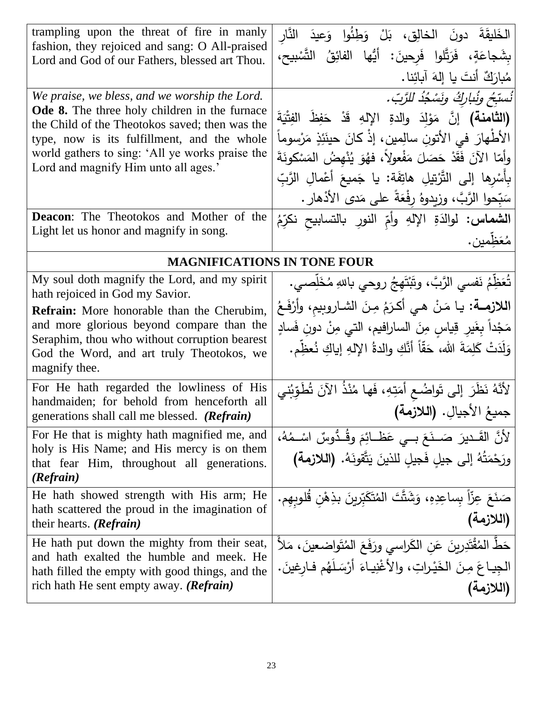| trampling upon the threat of fire in manly<br>fashion, they rejoiced and sang: O All-praised<br>Lord and God of our Fathers, blessed art Thou.                                                                                                                                                   | الخَليقَةَ دونَ الخالِقِ، بَلْ وَطِئُوا وَعِيدَ النَّارِ<br>بِشَجاعَةٍ، فَرَتَّلوا فَرحينَ: أَيُّها الفائِقُ التَّسْبِيحِ،<br>مُبارَكٌ أَنتَ يا إِلهَ آبائِنا.                                                                                                                                                                                                      |
|--------------------------------------------------------------------------------------------------------------------------------------------------------------------------------------------------------------------------------------------------------------------------------------------------|---------------------------------------------------------------------------------------------------------------------------------------------------------------------------------------------------------------------------------------------------------------------------------------------------------------------------------------------------------------------|
| We praise, we bless, and we worship the Lord.<br>Ode 8. The three holy children in the furnace<br>the Child of the Theotokos saved; then was the<br>type, now is its fulfillment, and the whole<br>world gathers to sing: 'All ye works praise the<br>Lord and magnify Him unto all ages.'       | نُسبّخ ونُباركُ ونَسْجُدُ للرَّبّ.<br>(الثامنة) إنَّ مَوْلَدَ والدةِ الإِلهِ قَدْ حَفِظَ الفِتْيَةَ<br>الأطْهارَ في الأتونِ سالِمينِ، إذْ كانَ حينَئِذٍ مَرْسوماً<br>وأمّا الآنَ فَقَدْ حَصَلَ مَفْعولاً، فهُوَ يُنْهضُ المَسْكونَةَ<br>بِأَسْرِها إِلَى التَّرْتِيلِ هاتِفَة: يا جَميعَ أَعْمالِ الرَّبِّ<br>سَبِّحوا الرَّبَّ، وزيدوهُ رفْعَةً على مَدى الأذهار . |
| <b>Deacon:</b> The Theotokos and Mother of the<br>Light let us honor and magnify in song.                                                                                                                                                                                                        | ا <b>لشماس:</b> لوالدَةِ الإلهِ وأمِّ النورِ بالتسابيح نكرِّمُ<br>مُعَظِّمين.                                                                                                                                                                                                                                                                                       |
| <b>MAGNIFICATIONS IN TONE FOUR</b>                                                                                                                                                                                                                                                               |                                                                                                                                                                                                                                                                                                                                                                     |
| My soul doth magnify the Lord, and my spirit<br>hath rejoiced in God my Savior.<br><b>Refrain:</b> More honorable than the Cherubim,<br>and more glorious beyond compare than the<br>Seraphim, thou who without corruption bearest<br>God the Word, and art truly Theotokos, we<br>magnify thee. | تُعَظِّمُ نَفْسَى الرَّبَّ، وتَبْتَهِجُ روحي باللهِ مُخَلِّصـي.<br>اللازمة: يا مَنْ هي أكرَمُ مِنَ الشاروبيم، وأرْفَعُ<br>مَجْداً بِغَيرِ قِياسِ مِنَ السارافيم، التي مِنْ دونِ فَسادٍ<br>وَلَدَتْ كَلِمَةَ الله، حَقّاً أنَّكِ والدةُ الإلهِ إياكِ نُعظِّم.                                                                                                        |
| For He hath regarded the lowliness of His<br>handmaiden; for behold from henceforth all<br>generations shall call me blessed. (Refrain)                                                                                                                                                          | لأَنَّهُ نَظَرَ إِلَى تَواضُـعٍ أَمَتِهِ، فَها مُنْذُ الآنَ تُطَوِّبُني<br>جميعُ الأجيالِ. (اللازمة)                                                                                                                                                                                                                                                                |
| For He that is mighty hath magnified me, and<br>holy is His Name; and His mercy is on them<br>that fear Him, throughout all generations.<br>(Refrain)                                                                                                                                            | لأَنَّ القَـديرَ ۖ صَـنَعَ بِــي عَظَــائِمَ وقُـدُّوسٌ اسْــمُهُ،<br>ورَحْمَتُهُ إلى جيلِ فَجيلِ للذينَ يَتَّقونَهُ. (اللازمة)                                                                                                                                                                                                                                     |
| He hath showed strength with His arm; He<br>hath scattered the proud in the imagination of<br>their hearts. ( <b>Refrain</b> )                                                                                                                                                                   | صَنَعَ عِزّاً بِساعِدِهِ، وَشَتَّتَ المُتَكَبِّرِينَ بذِهْنِ قُلوبِهِم.<br>(اللازمة)                                                                                                                                                                                                                                                                                |
| He hath put down the mighty from their seat,<br>and hath exalted the humble and meek. He<br>hath filled the empty with good things, and the<br>rich hath He sent empty away. ( <b>Refrain</b> )                                                                                                  | حَطْ الْمُقْتَدِرِينَ عَنِ الكَراسي ورَفَعَ الْمُتَواضعينَ، مَلأَ<br>الْجِياعَ مِنَ الْخَيْراتِ، والأغْنِياءَ أَرْسَلَهُم فارغينَ.<br>(اللازمة)                                                                                                                                                                                                                     |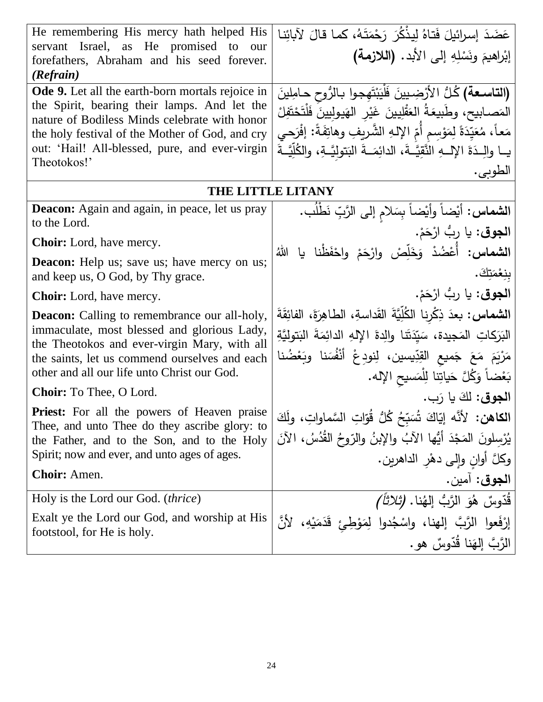| He remembering His mercy hath helped His<br>servant Israel, as He promised to<br>our<br>forefathers, Abraham and his seed forever.<br>(Refrain) | عَضَدَ إسرائيلَ فَتاهُ لِيذْكُرَ رَحْمَتَهُ، كما قالَ لآبائِنا<br>إبْراهيمَ ونَسْلِهِ إلى الأبد. (اللازمة) |
|-------------------------------------------------------------------------------------------------------------------------------------------------|------------------------------------------------------------------------------------------------------------|
|                                                                                                                                                 |                                                                                                            |
| <b>Ode 9.</b> Let all the earth-born mortals rejoice in                                                                                         | (التاسعة) كُلُّ الأَرْضِيينَ فَلْيَبْتَهِجوا بِالرُّوحِ حامِلِينَ                                          |
| the Spirit, bearing their lamps. And let the                                                                                                    | المَصابيح، وطَبيعَةُ العَقْلِيينَ غَيْرِ الهَيولِيينَ فَلْتَحْتَفِلْ                                       |
| nature of Bodiless Minds celebrate with honor                                                                                                   | مَعاً، مُعَيِّدَةً لِمَوْسِمٍ أَمِّ الإِلهِ الشَّرِيفِ وهاتِفَةً: إفْرَحي                                  |
| the holy festival of the Mother of God, and cry                                                                                                 |                                                                                                            |
| out: 'Hail! All-blessed, pure, and ever-virgin                                                                                                  | يــا والِــدَةَ الإِلـــهِ النَّقِيَّــةَ، الدائِمَــةَ البَتوليَّــةِ، والكُلِّيَّــةَ                    |
| Theotokos!'                                                                                                                                     | الطوبي.                                                                                                    |
| THE LITTLE LITANY                                                                                                                               |                                                                                                            |
| <b>Deacon:</b> Again and again, in peace, let us pray                                                                                           | ا <b>لشماس:</b> أيْضاً وأيْضاً بِسَلام إلى الرَّبِّ نَطْلُب.                                               |
| to the Lord.                                                                                                                                    |                                                                                                            |
| <b>Choir:</b> Lord, have mercy.                                                                                                                 | ا <b>لجوق</b> : يا ربُّ ارْحَمْ.                                                                           |
| <b>Deacon:</b> Help us; save us; have mercy on us;                                                                                              | ا <b>لشماس:</b> أُعْضُدْ وَخَلِّصْ وارْحَمْ واحْفَظْنا يا اللهُ                                            |
| and keep us, O God, by Thy grace.                                                                                                               | بنِعْمَتِكَ.                                                                                               |
|                                                                                                                                                 | ا <b>لجوق</b> : يا ربُّ ارْحَمْ.                                                                           |
| <b>Choir:</b> Lord, have mercy.                                                                                                                 |                                                                                                            |
| <b>Deacon:</b> Calling to remembrance our all-holy,                                                                                             | ا <b>لشماس:</b> بعدَ ذِكْرِنا الكُلِّيَّةَ القَداسةِ، الطاهِرَةَ، الفائِقَةَ                               |
| immaculate, most blessed and glorious Lady,                                                                                                     | الْبَرَكَاتِ الْمَجِيدة، سَيِّدَتَنا والِدةَ الإِلهِ الدائِمَةَ الْبَتولِيَّةِ                             |
| the Theotokos and ever-virgin Mary, with all<br>the saints, let us commend ourselves and each                                                   | مَرْيَمَ مَعَ جَميع القِدِّيسين، لِنودِعْ أَنْفُسَنا وبَعْضُنا                                             |
| other and all our life unto Christ our God.                                                                                                     | بَعْضاً وَكُلَّ حَياتِنا لِلْمَسيحِ الإِله.                                                                |
| <b>Choir:</b> To Thee, O Lord.                                                                                                                  | ا <b>لجوق:</b> لكَ يا رَب.                                                                                 |
| Priest: For all the powers of Heaven praise                                                                                                     | ا <b>لكاهن:</b> لأنَّه إيّاكَ شُبَبِّحُ كُلُّ قُوّاتِ السَّماواتِ، ولَكَ                                   |
| Thee, and unto Thee do they ascribe glory: to                                                                                                   |                                                                                                            |
| the Father, and to the Son, and to the Holy<br>Spirit; now and ever, and unto ages of ages.                                                     | يُرْسِلُونَ المَجْدَ أَيُّها الآبُ والإِبنُ والرّوحُ القُدُسُ، الآنَ                                       |
|                                                                                                                                                 | وكلَّ أوانِ وإلى دهْرِ الداهرين.                                                                           |
| Choir: Amen.                                                                                                                                    | ا <b>لجوق</b> : آمين.                                                                                      |
| Holy is the Lord our God. <i>(thrice)</i>                                                                                                       | ِ قُدّوسٌ   هُوَ  الرَّبُ  إلهُنا . <i>(ثلاثاً )</i>                                                       |
| Exalt ye the Lord our God, and worship at His                                                                                                   | إِرْفَعوا الرَّبَّ إِلهنا، واسْجُدوا لِمَوْطِئٍ قَدَمَيْهِ، لأَنَّ                                         |
| footstool, for He is holy.                                                                                                                      | الرَّبَّ إِلهَنا قُدَّوسٌ هو .                                                                             |
|                                                                                                                                                 |                                                                                                            |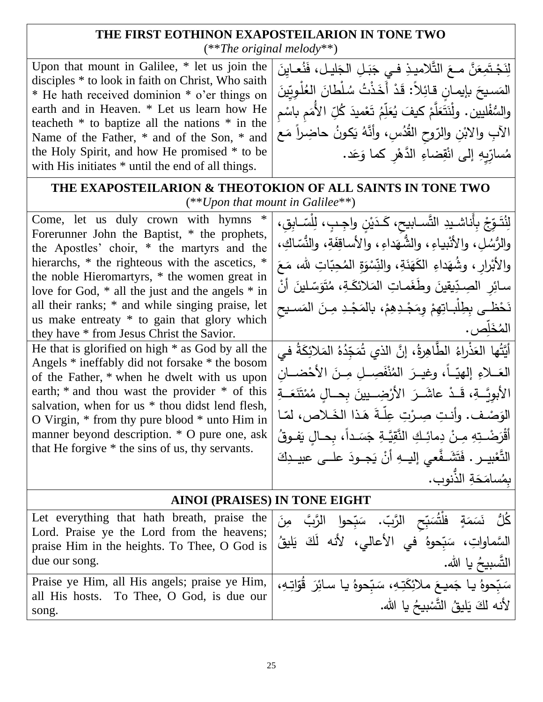## **THE FIRST EOTHINON EXAPOSTEILARION IN TONE TWO** (\*\**The original melody*\*\*)

Upon that mount in Galilee, \* let us join the disciples \* to look in faith on Christ, Who saith \* He hath received dominion \* o'er things on earth and in Heaven. \* Let us learn how He teacheth \* to baptize all the nations \* in the Name of the Father, \* and of the Son, \* and the Holy Spirit, and how He promised \* to be with His initiates  $*$  until the end of all things.

ـَـٰ لِنَجْتَمِعَنَّ معَ التَّلاميذِ في جَبَـلِ الجَليـل، فَنُعـايِنَ َ .<br>∶ َ **∶**  $\zeta$ **:** ـَـٰ المَسيحَ بإيمانٍ قائِلاً: قَدْ أَخَذْتُ سُلْطانَ العُلْوِيِّينَ<br>موسوعات ا<br>ا <u>َ</u>ـٰ ٔ<br>أ .<br>-<br>-والسُّفْليين. ولْنَتَعَلَّمْ كيفَ يُعَلِّمُ تَعْميدَ كُلِّ الأَمَمِ باسْمِ ë. ْ َ َثَقَلَّمْ كيفَ يُعَلِّمُ تَعْميدَ كُلِّ ْ س َ ْ َ َ الآبِ والابْنِ والرّوحِ القُدُسِ، وأنَّهُ يَكونُ حاضِراً مَع ً<br>ً ٔ. ْ مُسارِّيِهِ إلى انْقِضاءِ الدَّهْرِ كما وَعَد. <u>م</u> َ ة<br>أ ْ

| THE EXAPOSTEILARION & THEOTOKION OF ALL SAINTS IN TONE TWO<br>$(**Upon that mount in Galilee**)$                                                                                                                                                                                                                                                                                                                                                                                                                                                                                                                                                                                                                                                                                                                                                                   |                                                                                                                                                                                                                                                                                                                                                                                                                                                                                                                                                                                                                                                                                                                                                                                                                                       |
|--------------------------------------------------------------------------------------------------------------------------------------------------------------------------------------------------------------------------------------------------------------------------------------------------------------------------------------------------------------------------------------------------------------------------------------------------------------------------------------------------------------------------------------------------------------------------------------------------------------------------------------------------------------------------------------------------------------------------------------------------------------------------------------------------------------------------------------------------------------------|---------------------------------------------------------------------------------------------------------------------------------------------------------------------------------------------------------------------------------------------------------------------------------------------------------------------------------------------------------------------------------------------------------------------------------------------------------------------------------------------------------------------------------------------------------------------------------------------------------------------------------------------------------------------------------------------------------------------------------------------------------------------------------------------------------------------------------------|
| Come, let us duly crown with hymns<br>Forerunner John the Baptist, * the prophets,<br>the Apostles' choir, * the martyrs and the<br>hierarchs, * the righteous with the ascetics, *<br>the noble Hieromartyrs, * the women great in<br>love for God, $*$ all the just and the angels $*$ in<br>all their ranks; * and while singing praise, let<br>us make entreaty * to gain that glory which<br>they have * from Jesus Christ the Savior.<br>He that is glorified on high $*$ as God by all the<br>Angels * ineffably did not forsake * the bosom<br>of the Father, * when he dwelt with us upon<br>earth; $*$ and thou wast the provider $*$ of this<br>salvation, when for us * thou didst lend flesh,<br>O Virgin, $*$ from thy pure blood $*$ unto Him in<br>manner beyond description. * O pure one, ask<br>that He forgive * the sins of us, thy servants. | لِنُتَـوِّجْ بِأَناشـيدِ التَّسـابيح، كَـدَيْنِ واجِـبٍ، لِلْسّـابِقِ،<br>والرُّسُلِ، والأَنْبِياءِ، والشُّهَداءِ، والأساقِفَةِ، والنُّسَّاكِ،<br>والأَبْرارِ ، وشُهَداءِ الكَهَنَةِ، والنِّسْوَةِ المُحِبّاتِ لله، مَعَ<br>سائِرِ الصِدِّيقِينَ وطَغَمـاتِ المَلائكَـةِ، مُتَوَسِّـلينَ أَنْ<br>نَحْظـي بِطِلْبـاتِهِمْ وِمَجْـدِهِمْ، بالمَجْـدِ مِـنَ المَسـيح<br>المُخَلص،<br>أَيَّتُها العَذْراءُ الطَّاهِرةُ، إنَّ الذي تُمَجِّدُهُ المَلائِكَةُ في<br>العَــلاءِ إلهيّــاً، وغيــرَ المُنْفَصِــلِ مِــنَ الأَحْضــان<br>الأبويَّــةِ، قَــدْ عاشَــرَ الأَرْضِـــيينَ بحـــالِ مُمْتَنَعَـــةِ<br>الوَصْف. وأنتِ صِرْتِ عِلّةَ هَذا الخَلاص، لمّا<br>أَقْرَضْـتِهِ مِـنْ دِمائِـكِ النَّقِيَّـةِ جَسَـداً، بِحـالِ يَفـوقُ<br>التَّعْبِيــر . فَتَشَــفَّعى إليـــهِ أَنْ يَجــودَ علـــى عبيــدِكَ<br>بمُسامَحَةِ الذُّنوبِ. |
| <b>AINOI (PRAISES) IN TONE EIGHT</b>                                                                                                                                                                                                                                                                                                                                                                                                                                                                                                                                                                                                                                                                                                                                                                                                                               |                                                                                                                                                                                                                                                                                                                                                                                                                                                                                                                                                                                                                                                                                                                                                                                                                                       |
| Let everything that hath breath, praise the<br>Lord. Praise ye the Lord from the heavens;<br>praise Him in the heights. To Thee, O God is<br>due our song.<br>Praise ye Him, all His angels; praise ye Him,<br>all His hosts. To Thee, O God, is due our                                                                                                                                                                                                                                                                                                                                                                                                                                                                                                                                                                                                           | كُلُّ نَسَمَةٍ فلْتُسَبِّحِ الرَّبِّ، سَبِّحوا الرَّبَّ مِنَ<br>السَّماواتِ، سَبِّحوهُ في الأعالي، لأنه لَكَ يَليقُ<br>التَّسبيحُ يا الله.<br>سَبِّحوهُ يا جَميعَ ملائِكَتِهِ، سَبّحوهُ يا سائِرَ قُوّاتِهِ،                                                                                                                                                                                                                                                                                                                                                                                                                                                                                                                                                                                                                          |
| song.                                                                                                                                                                                                                                                                                                                                                                                                                                                                                                                                                                                                                                                                                                                                                                                                                                                              | لأنه لكَ يَليقُ التَّسْبِيحُ يا الله.                                                                                                                                                                                                                                                                                                                                                                                                                                                                                                                                                                                                                                                                                                                                                                                                 |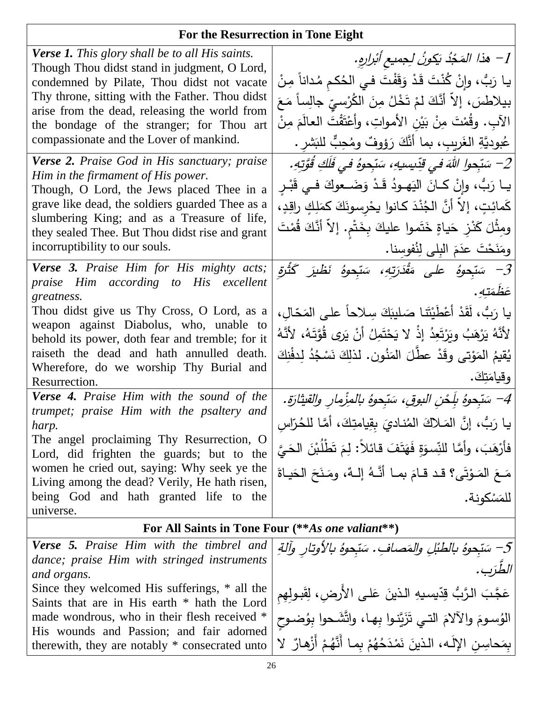# **For the Resurrection in Tone Eight**

| <b>Verse 1.</b> This glory shall be to all His saints.<br>Though Thou didst stand in judgment, O Lord,<br>condemned by Pilate, Thou didst not vacate<br>Thy throne, sitting with the Father. Thou didst<br>arise from the dead, releasing the world from<br>the bondage of the stranger; for Thou art<br>compassionate and the Lover of mankind.                                                                                                                                                                                                                                                                                                                                                                | 1– هذا المَجْدُ بَكونُ لِجميع أنْزارِهِ.<br>يا رَبُّ، وإِنْ كُنْتَ قَدْ وَقَفْتَ فـي الـحُكم مُداناً مِنْ<br>بيلاطسَ، إلاّ أنَّكَ لمْ تَخْلُ مِنَ الكُرْسيِّ جالِساً مَعَ<br>الآبِ. وقُمْتَ مِنْ بَيْنِ الأمواتِ، وأَعْتَقْتَ العالَمَ مِنْ<br>عُبوديَّةِ الغَريبِ، بما أنَّكَ رَؤوفٌ ومُحِبٌّ للبَشرِ .                                                                                                                                                                                                                                                                                                                              |
|-----------------------------------------------------------------------------------------------------------------------------------------------------------------------------------------------------------------------------------------------------------------------------------------------------------------------------------------------------------------------------------------------------------------------------------------------------------------------------------------------------------------------------------------------------------------------------------------------------------------------------------------------------------------------------------------------------------------|---------------------------------------------------------------------------------------------------------------------------------------------------------------------------------------------------------------------------------------------------------------------------------------------------------------------------------------------------------------------------------------------------------------------------------------------------------------------------------------------------------------------------------------------------------------------------------------------------------------------------------------|
| Verse 2. Praise God in His sanctuary; praise<br>Him in the firmament of His power.<br>Though, O Lord, the Jews placed Thee in a<br>grave like dead, the soldiers guarded Thee as a<br>slumbering King; and as a Treasure of life,<br>they sealed Thee. But Thou didst rise and grant<br>incorruptibility to our souls.                                                                                                                                                                                                                                                                                                                                                                                          | 2– سَبّحول اللّهَ في قدِّيسيهِ، سَبّحوهُ في فَلَكِ قُوَّتِهِ.<br>يــا رَبُّ، وإنْ كــانَ اليَهــودُ قَـدْ وَضَـــعوكَ فــي قَبْــرِ<br>كَمائِتٍ، إلاَّ أَنَّ الْجُنْدَ كانوا يحْرسونَكَ كمَلِكٍ راقِدٍ،<br>ومِثْلَ كَنْزِ حَياةٍ خَتَموا عليكَ بِخَتْمٍ. إلاّ أنَّكَ قُمْتَ<br>ومَنَحْتَ عدَمَ البِلي لِنُفوسِنا.                                                                                                                                                                                                                                                                                                                     |
| Verse 3. Praise Him for His mighty acts;<br>praise Him according to His excellent<br>greatness.<br>Thou didst give us Thy Cross, O Lord, as a<br>weapon against Diabolus, who, unable to<br>behold its power, doth fear and tremble; for it<br>raiseth the dead and hath annulled death.<br>Wherefore, do we worship Thy Burial and<br>Resurrection.<br><b>Verse 4.</b> Praise Him with the sound of the<br>trumpet; praise Him with the psaltery and<br>harp.<br>The angel proclaiming Thy Resurrection, O<br>Lord, did frighten the guards; but to the<br>women he cried out, saying: Why seek ye the<br>Living among the dead? Verily, He hath risen,<br>being God and hath granted life to the<br>universe. | سَبِّحوهُ على مَقْدَرَتِهِ، سَبِّحوهُ نَظْيرَ كَثُّرَةِ $\vec{z}$<br>عَظْمَتْهِ.<br>يا رَبُّ، لَقَدْ أَعْطَيْتَنا صَليبَكَ سِلاحاً على المَحّالِ،<br>لأَنَّهُ يَرْهَبُ وِيَرْتَعِدُ إِذْ لا يَحْتَمِلُ أَنْ يَرَى قُوَّتَهُ، لأَنَّهُ<br>يُقيمُ المَوْتي وقَدْ عطِّلَ المَنُونِ. لذلِكَ نَسْجُدُ لِدفْنِكَ<br>وقيامَتِكَ.<br>4– سَبِّحوهُ بِلَحْنِ الْبوقِ، سَبِّحوهُ بِالْمِزْمِارِ والْقِيثَارَةِ.<br>يا رَبُّ، إنَّ المَـلاكَ المُنـاديَ بِقِيامتِكَ، أمَّا للحُرّاسِ<br>  فأَرْهَبَ، وأَمَّا للنِّسوَةِ فَهَتَفَ قائلاً: لِمَ تَطْلُبْنَ الْحَيَّ<br>مَعَ المَوْتَى؟ قد قامَ بما أَنَّهُ إِلـهٌ، ومَنَحَ الْحَياةَ<br>للمَسْكونة. |
| For All Saints in Tone Four (**As one valiant**)                                                                                                                                                                                                                                                                                                                                                                                                                                                                                                                                                                                                                                                                |                                                                                                                                                                                                                                                                                                                                                                                                                                                                                                                                                                                                                                       |
| <b>Verse 5.</b> Praise Him with the timbrel and<br>dance; praise Him with stringed instruments<br>and organs.<br>Since they welcomed His sufferings, * all the<br>Saints that are in His earth * hath the Lord<br>made wondrous, who in their flesh received *<br>His wounds and Passion; and fair adorned                                                                                                                                                                                                                                                                                                                                                                                                      | 5– سَبِّحوهُ بالطَبْلِ والمَصافِ. سَبِّحوهُ بالأوتارِ وآلةِ<br>عَجَّبَ الرَّبُّ قِدِّيسيهِ الذينَ عَلى الأرضِ، لِقَبولِهِمِ<br> الؤسومَ والآلامَ التـي تَزَيَّنـوا بِهـا، واتَّشَـحوا بِوُضـوحِ                                                                                                                                                                                                                                                                                                                                                                                                                                       |
| therewith, they are notably * consecrated unto                                                                                                                                                                                                                                                                                                                                                                                                                                                                                                                                                                                                                                                                  | بمَحاسِن الإِلَـه، الذينَ نَمْدَحُهُمْ بِما أَنَّهُمْ أَزْهارٌ لا                                                                                                                                                                                                                                                                                                                                                                                                                                                                                                                                                                     |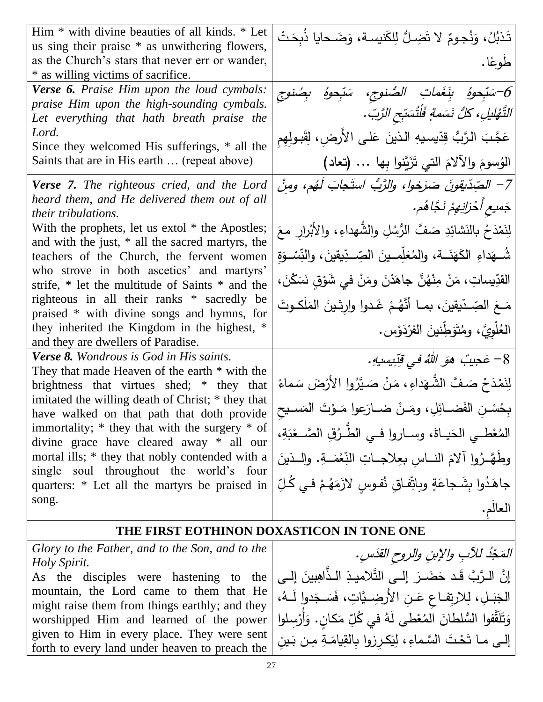| Him * with divine beauties of all kinds. * Let<br>us sing their praise * as unwithering flowers, | تَذبُلُ، وَنُجومٌ لا تَضِـلُّ لِلكَنيسة، وَضَـحايا ذُبِحَتْ            |
|--------------------------------------------------------------------------------------------------|------------------------------------------------------------------------|
| as the Church's stars that never err or wander,                                                  | طُوعًا .                                                               |
| * as willing victims of sacrifice.                                                               |                                                                        |
| <b>Verse 6.</b> Praise Him upon the loud cymbals:                                                | َحَسَبِّحوهُ بِنَغَماتِ الصُّنوجِ، سَبِّحوهُ بِصُنوجِ اللَّهُ $\delta$ |
| praise Him upon the high-sounding cymbals.                                                       | التَّهْليلِ، كَلُّ نَسَمةٍ فَلْتُسَبِّحِ الزَّبِّ.                     |
| Let everything that hath breath praise the<br>Lord.                                              |                                                                        |
| Since they welcomed His sufferings, * all the                                                    | عَجَّبَ الرَّبُّ قِدِّيسيهِ الذينَ عَلـى الأَرضِ، لِقَبـولِهِم         |
| Saints that are in His earth  (repeat above)                                                     | الوُسومَ والآلامَ التي تَزَيَّنوا بِها  (تعاد)                         |
| <b>Verse 7.</b> The righteous cried, and the Lord                                                | 7– الصِّدِّيقونَ صَرَخول، والرَّبُّ استَجابَ لَهُم، ومِنْ              |
| heard them, and He delivered them out of all<br><i>their tribulations.</i>                       | جَمىع أَخْزَانِهِمْ نَجَّاهُم.                                         |
| With the prophets, let us extol * the Apostles;                                                  | لِنَمْدَحْ بِالنَشَائِدِ صَفَّ الرُّسُلِ والشُّهداءِ، والأَبْرارِ معَ  |
| and with the just, * all the sacred martyrs, the<br>teachers of the Church, the fervent women    | شُـهَداءِ الكَهَنَــة، والمُعَلِّمــينَ الصِّــدِّيقينَ، والنِّسْـوَةِ |
| who strove in both ascetics' and martyrs'                                                        | القدِّيساتِ، مَنْ مِنْهُنَّ جاهَدْنَ ومَنْ في شَوْقٍ نَسَكْنَ،         |
| strife, * let the multitude of Saints * and the<br>righteous in all their ranks * sacredly be    |                                                                        |
| praised * with divine songs and hymns, for                                                       | مَعَ الصِّدّيقينَ، بمــا أنَّهُـمْ غَـدوا وارثـينَ المَلَكـوتَ         |
| they inherited the Kingdom in the highest, *<br>and they are dwellers of Paradise.               | المُلْوِيَّ، ومُتَوَطِّنينَ الفرْدَوْس.                                |
| <b>Verse 8.</b> Wondrous is God in His saints.                                                   | 8– عَجيبٌ هوَ اللَّهُ في قِزِيسِيهِ.                                   |
| They that made Heaven of the earth $*$ with the                                                  |                                                                        |
| brightness that virtues shed; * they that                                                        | لِنَمْدَحْ صَفَّ الشُّهَداءِ ، مَنْ صَيَّرُوا الأَرْضَ سَماءً          |
| imitated the willing death of Christ; * they that<br>have walked on that path that doth provide  | بِحُسْنِ الفَضــائِلِ، ومَـنْ ضــارَعوا مَـوْتَ المَسـيح               |
| immortality; $*$ they that with the surgery $*$ of                                               | المُغْطــي الحَيــاةَ، وســاروا فــي الطّـرُقِ الصَّــعْبَةِ،          |
| divine grace have cleared away * all our<br>mortal ills; * they that nobly contended with a      | وطَهَّـرُوا ألامَ النــاس بعِلاجــاتِ النِّعْمَــةِ. والــذينَ         |
| single soul throughout the world's four<br>quarters: * Let all the martyrs be praised in         | جاهَدُوا بِشَجاعَةٍ وبِاتِّفاقٍ نُفوسٍ لازَمَهُمْ في كُلِّ             |
| song.                                                                                            | العالم.                                                                |
|                                                                                                  |                                                                        |
| THE FIRST EOTHINON DOXASTICON IN TONE ONE                                                        |                                                                        |
| Glory to the Father, and to the Son, and to the                                                  | المَجْدُ للآبِ والإبنِ والروح القدَسِ.                                 |
| Holy Spirit.<br>As the disciples were hastening to the                                           | [إنَّ الـرَّبَّ قَـد حَضَـرَ  إلــي التَّلاميـذِ الـذَّاهِبينَ إلــي   |
| mountain, the Lord came to them that He                                                          | الجَبَـلِ، لِلارتِفـاعِ عَـنِ الأَرضِـيَّاتِ، فَسَـجَدوا لَــهُ،       |
| might raise them from things earthly; and they<br>worshipped Him and learned of the power        | وَتَلَقَّفوا السُّلطانَ المُعْطى لَهُ في كُلِّ مَكانِ. وَأَرْسِلوا     |
| given to Him in every place. They were sent                                                      | إلـى مـا تَحْتَ السَّماءِ، لِيَكرزوا بِالقِيامَـةِ مِـن بَـينِ         |
| forth to every land under heaven to preach the                                                   |                                                                        |

 $\overline{a}$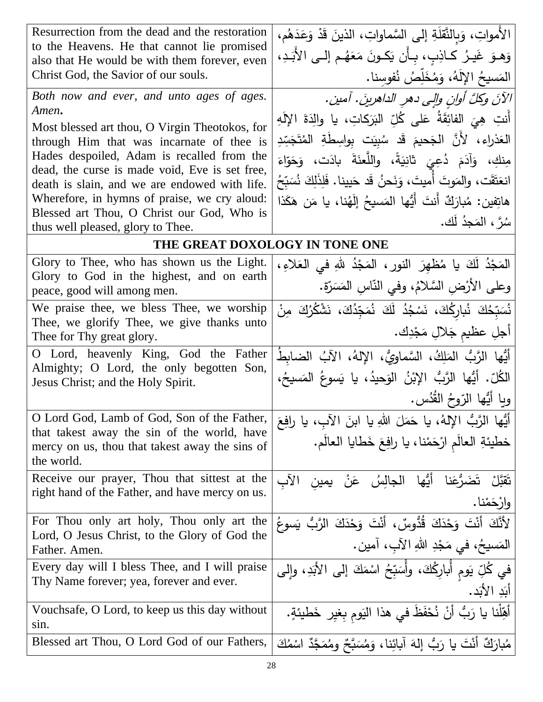| Resurrection from the dead and the restoration                                               | الأمواتِ، وَبِالنَّقَلَةِ إِلَى السَّماواتِ، الذينَ قَدْ وَعَدَهُم،    |
|----------------------------------------------------------------------------------------------|------------------------------------------------------------------------|
| to the Heavens. He that cannot lie promised<br>also that He would be with them forever, even | وَهـوَ غَيـرُ كـاذِب، بـأَن يَكـونَ مَعَهُـم إلــي الأَبَـدِ،          |
| Christ God, the Savior of our souls.                                                         | المَسيحُ اﻹلَهُ، وَمُخَلِّصُ نُفوسنا.                                  |
|                                                                                              |                                                                        |
| Both now and ever, and unto ages of ages.<br>Amen.                                           | الآنَ وكلَّ أوانِ والِي دهرِ الداهرينَ. آمين.                          |
| Most blessed art thou, O Virgin Theotokos, for                                               | أَنتِ هِيَ الفائِقَةُ عَلى كُلِّ البَرَكاتِ، يا والِدَةَ الإِلَهِ      |
| through Him that was incarnate of thee is                                                    | العَذراء، لأَنَّ الجَحيمَ قَد سُبِيَت بِواسِطَةِ المُتَجَسِّدِ         |
| Hades despoiled, Adam is recalled from the                                                   | مِنكِ، وَأَدَمَ دُعِيَ ثَانِيَةً، واللَّعنَةَ بادَت، وَحَوّاءَ         |
| dead, the curse is made void, Eve is set free,                                               |                                                                        |
| death is slain, and we are endowed with life.                                                | انعَتَقَت، والمَوتَ أَميتَ، وَنَحنُ قَد حَيينا. فَلِذَلِكَ نُسَبِّحُ   |
| Wherefore, in hymns of praise, we cry aloud:                                                 | هاتِفين: مُبارَكٌ أنتَ أَيُّها المَسيحُ إِلَهُنا، يا مَن هَكَذا        |
| Blessed art Thou, O Christ our God, Who is<br>thus well pleased, glory to Thee.              | سُرً ، المَجدُ لَك.                                                    |
|                                                                                              | THE GREAT DOXOLOGY IN TONE ONE                                         |
| Glory to Thee, who has shown us the Light.                                                   | الْمَجْدُ لَكَ يا مُظْهِرَ النورِ، الْمَجْدُ للهِ في الْعَلاءِ،        |
| Glory to God in the highest, and on earth                                                    |                                                                        |
| peace, good will among men.                                                                  | وعلى الأرْضِ السَّلامُ، وفي النَّاسِ المَسَرَّةِ.                      |
| We praise thee, we bless Thee, we worship                                                    | نُسَبّحُكَ نُبارِكُكَ، نَسْجُدُ لَكَ نُمَجّدُكَ، نَشْكُرُكَ مِنْ       |
| Thee, we glorify Thee, we give thanks unto                                                   | أجلِ عظيم جَلالِ مَجْدِك.                                              |
| Thee for Thy great glory.                                                                    |                                                                        |
| Lord, heavenly King, God the Father<br>O                                                     | أَيُّها الرَّبُّ المَلِكُ، السَّماويُّ، الإِلهُ، الآبُ الضابطُ         |
| Almighty; O Lord, the only begotten Son,<br>Jesus Christ; and the Holy Spirit.               | الكُلِّ . أَيُّها الرَّبُّ الإِبْنُ الوَحِيدُ ، يا يَسوعُ المَسيحُ،    |
|                                                                                              | ويا أَيُّها الزّوحُ القُدُس.                                           |
| O Lord God, Lamb of God, Son of the Father,                                                  |                                                                        |
| that takest away the sin of the world, have                                                  | أَيُّها الرَّبُّ الإلهُ، يا حَمَلَ اللهِ يا ابنَ الآبِ، يا رافِعَ      |
| mercy on us, thou that takest away the sins of                                               | خطيئةِ العالَمِ ارْحَمْنا، يا رافِعَ خَطايا العالَمِ.                  |
| the world.                                                                                   |                                                                        |
| Receive our prayer, Thou that sittest at the                                                 | نَقَبَّلْ نَضَرُّعَنا أَيُّها الْجالِسُ عَنْ يمين<br>الأب              |
| right hand of the Father, and have mercy on us.                                              | وارْحَمْنا.                                                            |
| For Thou only art holy, Thou only art the                                                    | لأَنَّكَ أَنْتَ وَحْذَكَ قُدُّوسٌ، أَنْتَ وَحْذَكَ الرَّبُّ يَسوعُ     |
| Lord, O Jesus Christ, to the Glory of God the                                                |                                                                        |
| Father. Amen.                                                                                | المَسيحُ، في مَجْدِ اللهِ الآبِ، آمين.                                 |
| Every day will I bless Thee, and I will praise                                               | في كُلِّ يَومٍ أَبارِكُكَ، وأُسَبِّحُ اسْمَكَ إلى الأَبَدِ، وإلى       |
| Thy Name forever; yea, forever and ever.                                                     | أَبَدِ الأَبَدِ.                                                       |
| Vouchsafe, O Lord, to keep us this day without                                               |                                                                        |
| sin.                                                                                         | أَهِّلْنا يا رَبُّ أَنْ نُحْفَظَ في هذا اليَوم بِغير خَطيئةٍ.          |
| Blessed art Thou, O Lord God of our Fathers,                                                 | مُبارَكٌ أَنْتَ يا رَبُّ إِلهَ آبائِنا، وَمُسَبَّحٌ ومُمَجَّدٌ اسْمُكَ |
|                                                                                              |                                                                        |